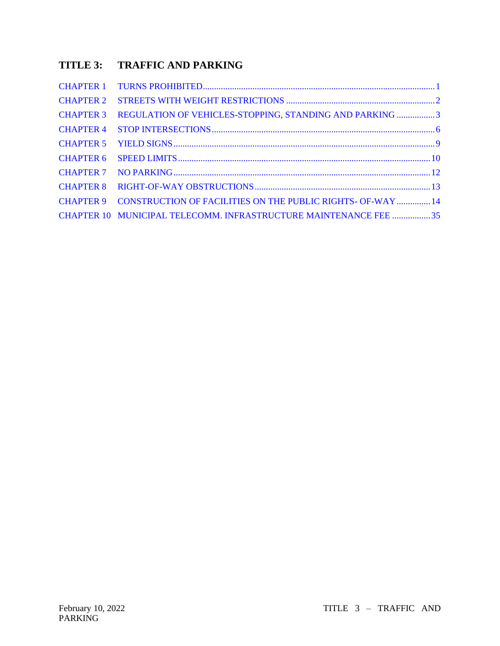| <b>CHAPTER 2</b> |                                                                       |  |
|------------------|-----------------------------------------------------------------------|--|
| <b>CHAPTER 3</b> | REGULATION OF VEHICLES-STOPPING, STANDING AND PARKING 3               |  |
| <b>CHAPTER 4</b> |                                                                       |  |
| <b>CHAPTER 5</b> |                                                                       |  |
| <b>CHAPTER 6</b> |                                                                       |  |
|                  |                                                                       |  |
| <b>CHAPTER 8</b> |                                                                       |  |
|                  | CHAPTER 9 CONSTRUCTION OF FACILITIES ON THE PUBLIC RIGHTS- OF-WAY  14 |  |
|                  | CHAPTER 10 MUNICIPAL TELECOMM. INFRASTRUCTURE MAINTENANCE FEE 35      |  |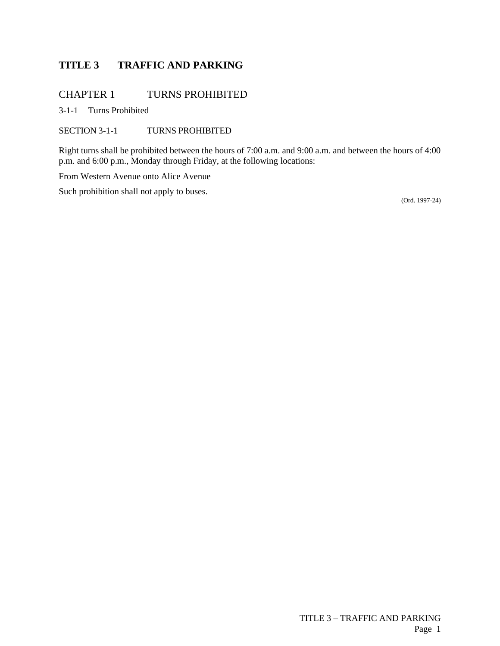# <span id="page-1-0"></span>CHAPTER 1 TURNS PROHIBITED

3-1-1 Turns Prohibited

SECTION 3-1-1 TURNS PROHIBITED

Right turns shall be prohibited between the hours of 7:00 a.m. and 9:00 a.m. and between the hours of 4:00 p.m. and 6:00 p.m., Monday through Friday, at the following locations:

From Western Avenue onto Alice Avenue

Such prohibition shall not apply to buses.

(Ord. 1997-24)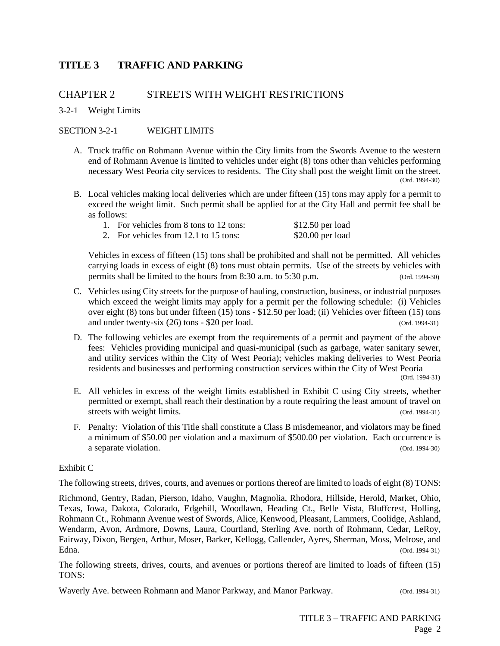## <span id="page-2-0"></span>CHAPTER 2 STREETS WITH WEIGHT RESTRICTIONS

### 3-2-1 Weight Limits

### SECTION 3-2-1 WEIGHT LIMITS

- A. Truck traffic on Rohmann Avenue within the City limits from the Swords Avenue to the western end of Rohmann Avenue is limited to vehicles under eight (8) tons other than vehicles performing necessary West Peoria city services to residents. The City shall post the weight limit on the street. (Ord. 1994-30)
- B. Local vehicles making local deliveries which are under fifteen (15) tons may apply for a permit to exceed the weight limit. Such permit shall be applied for at the City Hall and permit fee shall be as follows:

| 1. For vehicles from 8 tons to 12 tons: | $$12.50$ per load |
|-----------------------------------------|-------------------|
| 2. For vehicles from 12.1 to 15 tons:   | $$20.00$ per load |

Vehicles in excess of fifteen (15) tons shall be prohibited and shall not be permitted. All vehicles carrying loads in excess of eight (8) tons must obtain permits. Use of the streets by vehicles with permits shall be limited to the hours from 8:30 a.m. to 5:30 p.m. (Ord. 1994-30)

- C. Vehicles using City streets for the purpose of hauling, construction, business, or industrial purposes which exceed the weight limits may apply for a permit per the following schedule: (i) Vehicles over eight (8) tons but under fifteen (15) tons - \$12.50 per load; (ii) Vehicles over fifteen (15) tons and under twenty-six (26) tons - \$20 per load. (Ord. 1994-31)
- D. The following vehicles are exempt from the requirements of a permit and payment of the above fees: Vehicles providing municipal and quasi-municipal (such as garbage, water sanitary sewer, and utility services within the City of West Peoria); vehicles making deliveries to West Peoria residents and businesses and performing construction services within the City of West Peoria

(Ord. 1994-31)

- E. All vehicles in excess of the weight limits established in Exhibit C using City streets, whether permitted or exempt, shall reach their destination by a route requiring the least amount of travel on streets with weight limits. (Ord. 1994-31)
- F. Penalty: Violation of this Title shall constitute a Class B misdemeanor, and violators may be fined a minimum of \$50.00 per violation and a maximum of \$500.00 per violation. Each occurrence is a separate violation. (Ord. 1994-30)

### Exhibit C

The following streets, drives, courts, and avenues or portions thereof are limited to loads of eight (8) TONS:

Richmond, Gentry, Radan, Pierson, Idaho, Vaughn, Magnolia, Rhodora, Hillside, Herold, Market, Ohio, Texas, Iowa, Dakota, Colorado, Edgehill, Woodlawn, Heading Ct., Belle Vista, Bluffcrest, Holling, Rohmann Ct., Rohmann Avenue west of Swords, Alice, Kenwood, Pleasant, Lammers, Coolidge, Ashland, Wendarm, Avon, Ardmore, Downs, Laura, Courtland, Sterling Ave. north of Rohmann, Cedar, LeRoy, Fairway, Dixon, Bergen, Arthur, Moser, Barker, Kellogg, Callender, Ayres, Sherman, Moss, Melrose, and Edna. (Ord. 1994-31)

The following streets, drives, courts, and avenues or portions thereof are limited to loads of fifteen (15) TONS:

Waverly Ave. between Rohmann and Manor Parkway, and Manor Parkway. (Ord. 1994-31)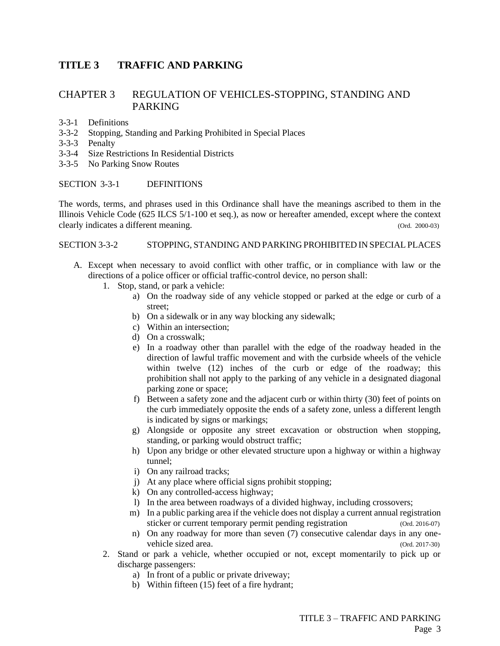## <span id="page-3-0"></span>CHAPTER 3 REGULATION OF VEHICLES-STOPPING, STANDING AND PARKING

- 3-3-1 Definitions
- 3-3-2 Stopping, Standing and Parking Prohibited in Special Places
- 3-3-3 Penalty
- 3-3-4 Size Restrictions In Residential Districts
- 3-3-5 No Parking Snow Routes

#### SECTION 3-3-1 DEFINITIONS

The words, terms, and phrases used in this Ordinance shall have the meanings ascribed to them in the Illinois Vehicle Code (625 ILCS 5/1-100 et seq.), as now or hereafter amended, except where the context clearly indicates a different meaning. (Ord. 2000-03)

#### SECTION 3-3-2 STOPPING, STANDING AND PARKING PROHIBITED IN SPECIAL PLACES

- A. Except when necessary to avoid conflict with other traffic, or in compliance with law or the directions of a police officer or official traffic-control device, no person shall:
	- 1. Stop, stand, or park a vehicle:
		- a) On the roadway side of any vehicle stopped or parked at the edge or curb of a street;
		- b) On a sidewalk or in any way blocking any sidewalk;
		- c) Within an intersection;
		- d) On a crosswalk;
		- e) In a roadway other than parallel with the edge of the roadway headed in the direction of lawful traffic movement and with the curbside wheels of the vehicle within twelve (12) inches of the curb or edge of the roadway; this prohibition shall not apply to the parking of any vehicle in a designated diagonal parking zone or space;
		- f) Between a safety zone and the adjacent curb or within thirty (30) feet of points on the curb immediately opposite the ends of a safety zone, unless a different length is indicated by signs or markings;
		- g) Alongside or opposite any street excavation or obstruction when stopping, standing, or parking would obstruct traffic;
		- h) Upon any bridge or other elevated structure upon a highway or within a highway tunnel;
		- i) On any railroad tracks;
		- j) At any place where official signs prohibit stopping;
		- k) On any controlled-access highway;
		- l) In the area between roadways of a divided highway, including crossovers;
		- m) In a public parking area if the vehicle does not display a current annual registration sticker or current temporary permit pending registration (Ord. 2016-07)
		- n) On any roadway for more than seven (7) consecutive calendar days in any onevehicle sized area. (Ord. 2017-30)
	- 2. Stand or park a vehicle, whether occupied or not, except momentarily to pick up or discharge passengers:
		- a) In front of a public or private driveway;
		- b) Within fifteen (15) feet of a fire hydrant;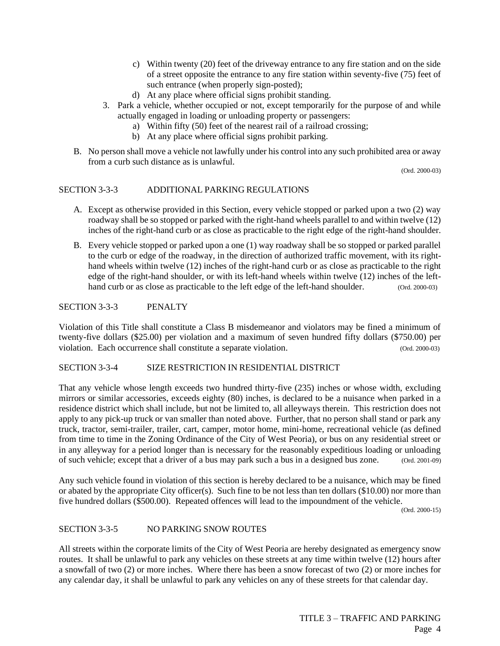- c) Within twenty (20) feet of the driveway entrance to any fire station and on the side of a street opposite the entrance to any fire station within seventy-five (75) feet of such entrance (when properly sign-posted);
- d) At any place where official signs prohibit standing.
- 3. Park a vehicle, whether occupied or not, except temporarily for the purpose of and while actually engaged in loading or unloading property or passengers:
	- a) Within fifty (50) feet of the nearest rail of a railroad crossing;
	- b) At any place where official signs prohibit parking.
- B. No person shall move a vehicle not lawfully under his control into any such prohibited area or away from a curb such distance as is unlawful.

(Ord. 2000-03)

### SECTION 3-3-3 ADDITIONAL PARKING REGULATIONS

- A. Except as otherwise provided in this Section, every vehicle stopped or parked upon a two (2) way roadway shall be so stopped or parked with the right-hand wheels parallel to and within twelve (12) inches of the right-hand curb or as close as practicable to the right edge of the right-hand shoulder.
- B. Every vehicle stopped or parked upon a one (1) way roadway shall be so stopped or parked parallel to the curb or edge of the roadway, in the direction of authorized traffic movement, with its righthand wheels within twelve (12) inches of the right-hand curb or as close as practicable to the right edge of the right-hand shoulder, or with its left-hand wheels within twelve (12) inches of the lefthand curb or as close as practicable to the left edge of the left-hand shoulder. (Ord. 2000-03)

#### SECTION 3-3-3 PENALTY

Violation of this Title shall constitute a Class B misdemeanor and violators may be fined a minimum of twenty-five dollars (\$25.00) per violation and a maximum of seven hundred fifty dollars (\$750.00) per violation. Each occurrence shall constitute a separate violation. (Ord. 2000-03)

### SECTION 3-3-4 SIZE RESTRICTION IN RESIDENTIAL DISTRICT

That any vehicle whose length exceeds two hundred thirty-five (235) inches or whose width, excluding mirrors or similar accessories, exceeds eighty (80) inches, is declared to be a nuisance when parked in a residence district which shall include, but not be limited to, all alleyways therein. This restriction does not apply to any pick-up truck or van smaller than noted above. Further, that no person shall stand or park any truck, tractor, semi-trailer, trailer, cart, camper, motor home, mini-home, recreational vehicle (as defined from time to time in the Zoning Ordinance of the City of West Peoria), or bus on any residential street or in any alleyway for a period longer than is necessary for the reasonably expeditious loading or unloading of such vehicle; except that a driver of a bus may park such a bus in a designed bus zone. (Ord. 2001-09)

Any such vehicle found in violation of this section is hereby declared to be a nuisance, which may be fined or abated by the appropriate City officer(s). Such fine to be not less than ten dollars (\$10.00) nor more than five hundred dollars (\$500.00). Repeated offences will lead to the impoundment of the vehicle.

(Ord. 2000-15)

### SECTION 3-3-5 NO PARKING SNOW ROUTES

All streets within the corporate limits of the City of West Peoria are hereby designated as emergency snow routes. It shall be unlawful to park any vehicles on these streets at any time within twelve (12) hours after a snowfall of two (2) or more inches. Where there has been a snow forecast of two (2) or more inches for any calendar day, it shall be unlawful to park any vehicles on any of these streets for that calendar day.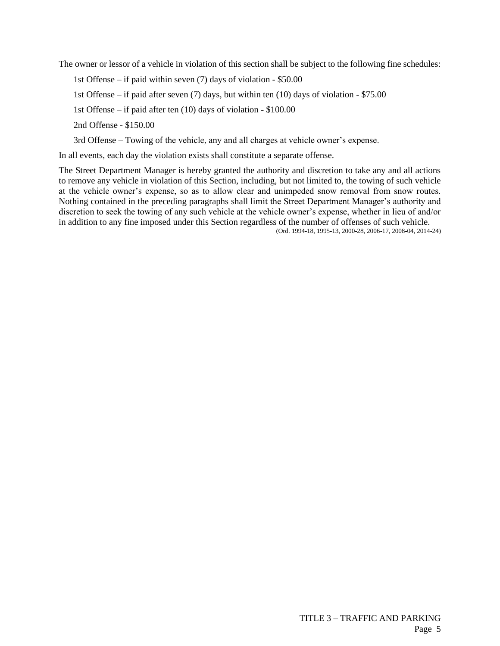The owner or lessor of a vehicle in violation of this section shall be subject to the following fine schedules:

1st Offense – if paid within seven (7) days of violation - \$50.00

1st Offense – if paid after seven (7) days, but within ten (10) days of violation - \$75.00

1st Offense – if paid after ten (10) days of violation - \$100.00

2nd Offense - \$150.00

3rd Offense – Towing of the vehicle, any and all charges at vehicle owner's expense.

In all events, each day the violation exists shall constitute a separate offense.

The Street Department Manager is hereby granted the authority and discretion to take any and all actions to remove any vehicle in violation of this Section, including, but not limited to, the towing of such vehicle at the vehicle owner's expense, so as to allow clear and unimpeded snow removal from snow routes. Nothing contained in the preceding paragraphs shall limit the Street Department Manager's authority and discretion to seek the towing of any such vehicle at the vehicle owner's expense, whether in lieu of and/or in addition to any fine imposed under this Section regardless of the number of offenses of such vehicle. (Ord. 1994-18, 1995-13, 2000-28, 2006-17, 2008-04, 2014-24)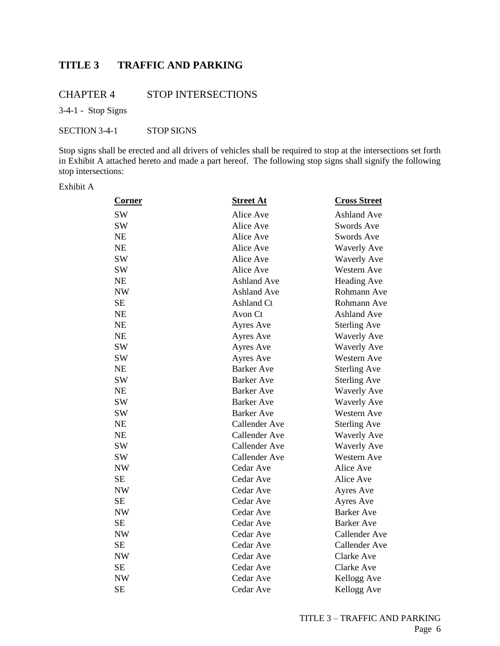## <span id="page-6-0"></span>CHAPTER 4 STOP INTERSECTIONS

3-4-1 - Stop Signs

SECTION 3-4-1 STOP SIGNS

Stop signs shall be erected and all drivers of vehicles shall be required to stop at the intersections set forth in Exhibit A attached hereto and made a part hereof. The following stop signs shall signify the following stop intersections:

### Exhibit A

| <b>Street At</b>   | <b>Cross Street</b>  |
|--------------------|----------------------|
| Alice Ave          | <b>Ashland Ave</b>   |
| Alice Ave          | Swords Ave           |
| Alice Ave          | Swords Ave           |
| Alice Ave          | <b>Waverly Ave</b>   |
| Alice Ave          | <b>Waverly Ave</b>   |
| Alice Ave          | Western Ave          |
| <b>Ashland Ave</b> | <b>Heading Ave</b>   |
| <b>Ashland Ave</b> | Rohmann Ave          |
| <b>Ashland Ct</b>  | Rohmann Ave          |
| Avon Ct            | <b>Ashland Ave</b>   |
| Ayres Ave          | <b>Sterling Ave</b>  |
| Ayres Ave          | <b>Waverly Ave</b>   |
| Ayres Ave          | <b>Waverly Ave</b>   |
| Ayres Ave          | Western Ave          |
| <b>Barker</b> Ave  | <b>Sterling Ave</b>  |
| <b>Barker</b> Ave  | <b>Sterling Ave</b>  |
| <b>Barker Ave</b>  | <b>Waverly Ave</b>   |
| <b>Barker Ave</b>  | <b>Waverly Ave</b>   |
| <b>Barker</b> Ave  | Western Ave          |
| Callender Ave      | <b>Sterling Ave</b>  |
| Callender Ave      | <b>Waverly Ave</b>   |
| Callender Ave      | <b>Waverly Ave</b>   |
| Callender Ave      | Western Ave          |
| Cedar Ave          | Alice Ave            |
| Cedar Ave          | Alice Ave            |
| Cedar Ave          | Ayres Ave            |
| Cedar Ave          | Ayres Ave            |
| Cedar Ave          | <b>Barker</b> Ave    |
| Cedar Ave          | <b>Barker</b> Ave    |
| Cedar Ave          | <b>Callender Ave</b> |
| Cedar Ave          | <b>Callender Ave</b> |
| Cedar Ave          | Clarke Ave           |
| Cedar Ave          | Clarke Ave           |
| Cedar Ave          | Kellogg Ave          |
| Cedar Ave          | Kellogg Ave          |
|                    |                      |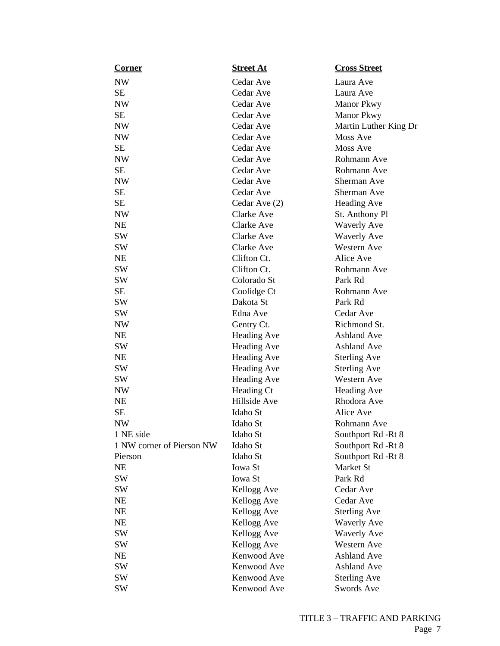| <b>Corner</b>             | <b>Street At</b>   | <b>Cross Street</b>   |
|---------------------------|--------------------|-----------------------|
| <b>NW</b>                 | Cedar Ave          | Laura Ave             |
| <b>SE</b>                 | Cedar Ave          | Laura Ave             |
| NW                        | Cedar Ave          | <b>Manor Pkwy</b>     |
| <b>SE</b>                 | Cedar Ave          | <b>Manor Pkwy</b>     |
| <b>NW</b>                 | Cedar Ave          | Martin Luther King Dr |
| <b>NW</b>                 | Cedar Ave          | Moss Ave              |
| SE                        | Cedar Ave          | Moss Ave              |
| NW                        | Cedar Ave          | Rohmann Ave           |
| <b>SE</b>                 | Cedar Ave          | Rohmann Ave           |
| NW                        | Cedar Ave          | Sherman Ave           |
| <b>SE</b>                 | Cedar Ave          | Sherman Ave           |
| <b>SE</b>                 | Cedar Ave (2)      | <b>Heading Ave</b>    |
| <b>NW</b>                 | Clarke Ave         | St. Anthony Pl        |
| NE                        | Clarke Ave         | <b>Waverly Ave</b>    |
| <b>SW</b>                 | Clarke Ave         | <b>Waverly Ave</b>    |
| <b>SW</b>                 | Clarke Ave         | <b>Western Ave</b>    |
| NE                        | Clifton Ct.        | Alice Ave             |
| <b>SW</b>                 | Clifton Ct.        | Rohmann Ave           |
| <b>SW</b>                 | Colorado St        | Park Rd               |
| <b>SE</b>                 | Coolidge Ct        | Rohmann Ave           |
| <b>SW</b>                 | Dakota St          | Park Rd               |
| SW                        | Edna Ave           | Cedar Ave             |
| NW                        | Gentry Ct.         | Richmond St.          |
| NE                        | <b>Heading Ave</b> | <b>Ashland Ave</b>    |
| <b>SW</b>                 | <b>Heading Ave</b> | <b>Ashland Ave</b>    |
| NE                        | <b>Heading Ave</b> | <b>Sterling Ave</b>   |
| <b>SW</b>                 | <b>Heading Ave</b> | <b>Sterling Ave</b>   |
| SW                        | <b>Heading Ave</b> | Western Ave           |
| <b>NW</b>                 | Heading Ct         | <b>Heading Ave</b>    |
| NE                        | Hillside Ave       | Rhodora Ave           |
| <b>SE</b>                 | Idaho St           | Alice Ave             |
| <b>NW</b>                 | Idaho St           | Rohmann Ave           |
| 1 NE side                 | Idaho St           | Southport Rd - Rt 8   |
| 1 NW corner of Pierson NW | Idaho St           | Southport Rd -Rt 8    |
| Pierson                   | Idaho St           | Southport Rd -Rt 8    |
| NE                        | Iowa St            | Market St             |
| <b>SW</b>                 | Iowa St            | Park Rd               |
| SW                        | Kellogg Ave        | Cedar Ave             |
| NE                        | Kellogg Ave        | Cedar Ave             |
| NE                        | Kellogg Ave        | <b>Sterling Ave</b>   |
| NE                        | Kellogg Ave        | Waverly Ave           |
| SW                        | Kellogg Ave        | <b>Waverly Ave</b>    |
| SW                        | Kellogg Ave        | Western Ave           |
| NE                        | Kenwood Ave        | <b>Ashland Ave</b>    |
| SW                        | Kenwood Ave        | <b>Ashland Ave</b>    |
| SW                        | Kenwood Ave        | <b>Sterling Ave</b>   |
| <b>SW</b>                 | Kenwood Ave        | Swords Ave            |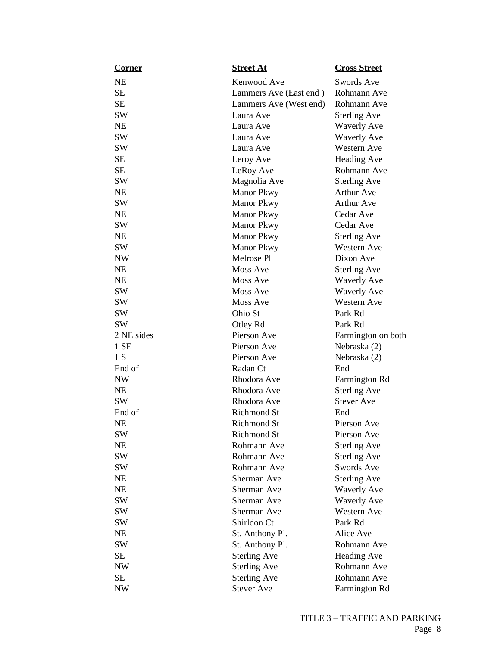| <u>Corner</u> | <b>Street At</b>       | <b>Cross Street</b> |
|---------------|------------------------|---------------------|
| <b>NE</b>     | Kenwood Ave            | Swords Ave          |
| SЕ            | Lammers Ave (East end) | Rohmann Ave         |
| <b>SE</b>     | Lammers Ave (West end) | Rohmann Ave         |
| <b>SW</b>     | Laura Ave              | <b>Sterling Ave</b> |
| NE            | Laura Ave              | <b>Waverly Ave</b>  |
| <b>SW</b>     | Laura Ave              | <b>Waverly Ave</b>  |
| SW            | Laura Ave              | <b>Western Ave</b>  |
| SE            | Leroy Ave              | Heading Ave         |
| <b>SE</b>     | LeRoy Ave              | Rohmann Ave         |
| SW            | Magnolia Ave           | <b>Sterling Ave</b> |
| <b>NE</b>     | <b>Manor Pkwy</b>      | <b>Arthur Ave</b>   |
| SW            | <b>Manor Pkwy</b>      | <b>Arthur Ave</b>   |
| NE            | <b>Manor Pkwy</b>      | Cedar Ave           |
| SW            | <b>Manor Pkwy</b>      | Cedar Ave           |
| <b>NE</b>     | <b>Manor Pkwy</b>      | <b>Sterling Ave</b> |
| SW            | <b>Manor Pkwy</b>      | Western Ave         |
| <b>NW</b>     | Melrose Pl             | Dixon Ave           |
| NE            | Moss Ave               | <b>Sterling Ave</b> |
| <b>NE</b>     | Moss Ave               | <b>Waverly Ave</b>  |
| SW            | Moss Ave               | <b>Waverly Ave</b>  |
| SW            | Moss Ave               | Western Ave         |
| SW            | Ohio St                | Park Rd             |
| SW            | Otley Rd               | Park Rd             |
| 2 NE sides    | Pierson Ave            | Farmington on both  |
| 1SE           | Pierson Ave            | Nebraska (2)        |
| 1S            | Pierson Ave            | Nebraska (2)        |
| End of        | Radan Ct               | End                 |
| NW            | Rhodora Ave            | Farmington Rd       |
| <b>NE</b>     | Rhodora Ave            | <b>Sterling Ave</b> |
| SW            | Rhodora Ave            | <b>Stever Ave</b>   |
| End of        | <b>Richmond St</b>     | End                 |
| NE            | Richmond St            | Pierson Ave         |
| SW            | <b>Richmond St</b>     | Pierson Ave         |
| NE            | Rohmann Ave            | <b>Sterling Ave</b> |
| SW            | Rohmann Ave            | <b>Sterling Ave</b> |
| SW            | Rohmann Ave            | Swords Ave          |
| NE            | Sherman Ave            | <b>Sterling Ave</b> |
| NE            | Sherman Ave            | <b>Waverly Ave</b>  |
| SW            | Sherman Ave            | <b>Waverly Ave</b>  |
| SW            | Sherman Ave            | Western Ave         |
| SW            | Shirldon Ct            | Park Rd             |
| NE            | St. Anthony Pl.        | Alice Ave           |
| SW            | St. Anthony Pl.        | Rohmann Ave         |
| SE            | <b>Sterling Ave</b>    | Heading Ave         |
| NW            | <b>Sterling Ave</b>    | Rohmann Ave         |
| SE            | <b>Sterling Ave</b>    | Rohmann Ave         |
| NW            | <b>Stever Ave</b>      | Farmington Rd       |
|               |                        |                     |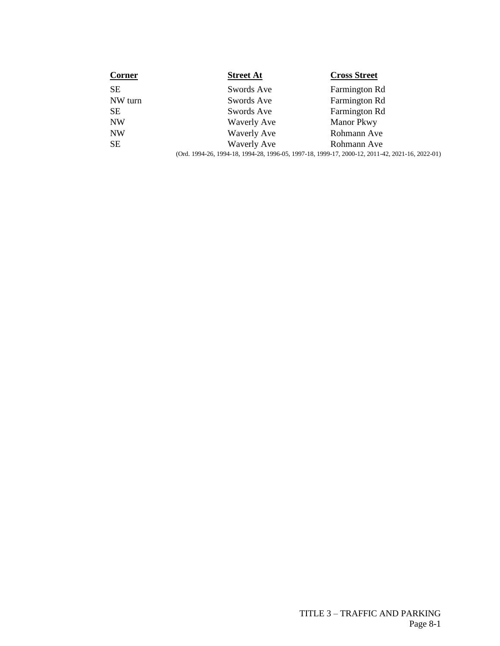| Corner    | <b>Street At</b>                                                                                | <b>Cross Street</b> |
|-----------|-------------------------------------------------------------------------------------------------|---------------------|
| <b>SE</b> | Swords Ave                                                                                      | Farmington Rd       |
| NW turn   | Swords Ave                                                                                      | Farmington Rd       |
| <b>SE</b> | Swords Ave                                                                                      | Farmington Rd       |
| <b>NW</b> | <b>Waverly Ave</b>                                                                              | <b>Manor Pkwy</b>   |
| <b>NW</b> | <b>Waverly Ave</b>                                                                              | Rohmann Ave         |
| <b>SE</b> | <b>Waverly Ave</b>                                                                              | Rohmann Ave         |
|           | (Ord. 1994-26, 1994-18, 1994-28, 1996-05, 1997-18, 1999-17, 2000-12, 2011-42, 2021-16, 2022-01) |                     |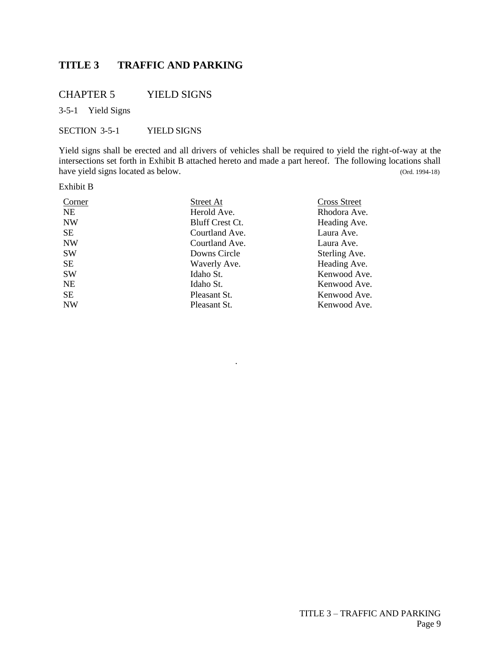## <span id="page-10-0"></span>CHAPTER 5 YIELD SIGNS

3-5-1 Yield Signs

SECTION 3-5-1 YIELD SIGNS

Yield signs shall be erected and all drivers of vehicles shall be required to yield the right-of-way at the intersections set forth in Exhibit B attached hereto and made a part hereof. The following locations shall have yield signs located as below. (Ord. 1994-18)

Exhibit B

| Corner    | Street At       | <b>Cross Street</b> |
|-----------|-----------------|---------------------|
| <b>NE</b> | Herold Ave.     | Rhodora Ave.        |
| <b>NW</b> | Bluff Crest Ct. | Heading Ave.        |
| SE        | Courtland Ave.  | Laura Ave.          |
| <b>NW</b> | Courtland Ave.  | Laura Ave.          |
| <b>SW</b> | Downs Circle    | Sterling Ave.       |
| <b>SE</b> | Waverly Ave.    | Heading Ave.        |
| <b>SW</b> | Idaho St.       | Kenwood Ave.        |
| NE        | Idaho St.       | Kenwood Ave.        |
| <b>SE</b> | Pleasant St.    | Kenwood Ave.        |
| <b>NW</b> | Pleasant St.    | Kenwood Ave.        |

.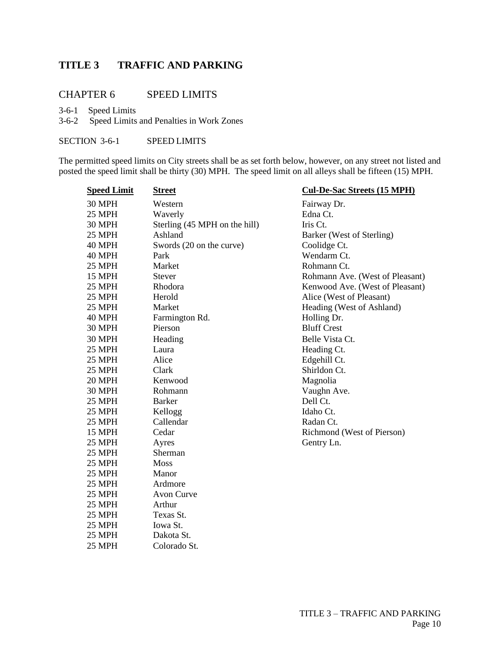## <span id="page-11-0"></span>CHAPTER 6 SPEED LIMITS

3-6-1 Speed Limits

3-6-2 Speed Limits and Penalties in Work Zones

SECTION 3-6-1 SPEED LIMITS

The permitted speed limits on City streets shall be as set forth below, however, on any street not listed and posted the speed limit shall be thirty (30) MPH. The speed limit on all alleys shall be fifteen (15) MPH.

| <b>Speed Limit</b> | <b>Street</b>                 | <b>Cul-De-Sac Streets (15 MPH)</b> |
|--------------------|-------------------------------|------------------------------------|
| <b>30 MPH</b>      | Western                       | Fairway Dr.                        |
| 25 MPH             | Waverly                       | Edna Ct.                           |
| 30 MPH             | Sterling (45 MPH on the hill) | Iris Ct.                           |
| 25 MPH             | Ashland                       | Barker (West of Sterling)          |
| 40 MPH             | Swords (20 on the curve)      | Coolidge Ct.                       |
| <b>40 MPH</b>      | Park                          | Wendarm Ct.                        |
| 25 MPH             | Market                        | Rohmann Ct.                        |
| <b>15 MPH</b>      | <b>Stever</b>                 | Rohmann Ave. (West of Pleasant)    |
| 25 MPH             | Rhodora                       | Kenwood Ave. (West of Pleasant)    |
| 25 MPH             | Herold                        | Alice (West of Pleasant)           |
| 25 MPH             | Market                        | Heading (West of Ashland)          |
| 40 MPH             | Farmington Rd.                | Holling Dr.                        |
| <b>30 MPH</b>      | Pierson                       | <b>Bluff Crest</b>                 |
| <b>30 MPH</b>      | Heading                       | Belle Vista Ct.                    |
| 25 MPH             | Laura                         | Heading Ct.                        |
| 25 MPH             | Alice                         | Edgehill Ct.                       |
| 25 MPH             | Clark                         | Shirldon Ct.                       |
| 20 MPH             | Kenwood                       | Magnolia                           |
| <b>30 MPH</b>      | Rohmann                       | Vaughn Ave.                        |
| 25 MPH             | <b>Barker</b>                 | Dell Ct.                           |
| 25 MPH             | Kellogg                       | Idaho Ct.                          |
| 25 MPH             | Callendar                     | Radan Ct.                          |
| <b>15 MPH</b>      | Cedar                         | Richmond (West of Pierson)         |
| 25 MPH             | Ayres                         | Gentry Ln.                         |
| 25 MPH             | Sherman                       |                                    |
| 25 MPH             | Moss                          |                                    |
| 25 MPH             | Manor                         |                                    |
| 25 MPH             | Ardmore                       |                                    |
| 25 MPH             | <b>Avon Curve</b>             |                                    |
| 25 MPH             | Arthur                        |                                    |
| 25 MPH             | Texas St.                     |                                    |
| 25 MPH             | Iowa St.                      |                                    |
| 25 MPH             | Dakota St.                    |                                    |
| 25 MPH             | Colorado St.                  |                                    |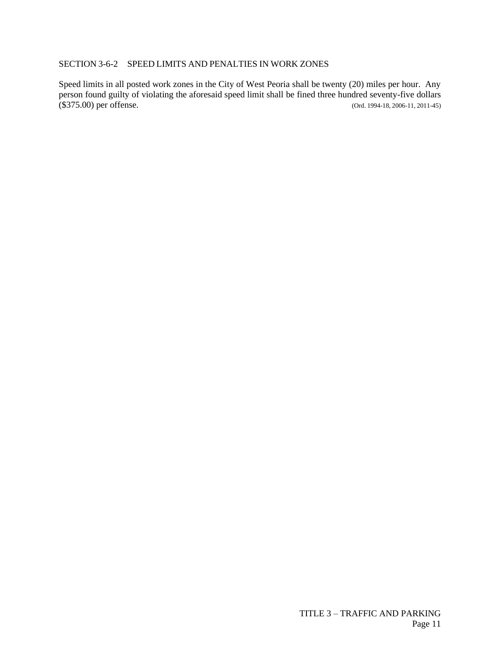### SECTION 3-6-2 SPEED LIMITS AND PENALTIES IN WORK ZONES

Speed limits in all posted work zones in the City of West Peoria shall be twenty (20) miles per hour. Any person found guilty of violating the aforesaid speed limit shall be fined three hundred seventy-five dollars (\$375.00) per offense. (0rd. 1994-18, 2006-11, 2011-45)  $(Ord. 1994-18, 2006-11, 2011-45)$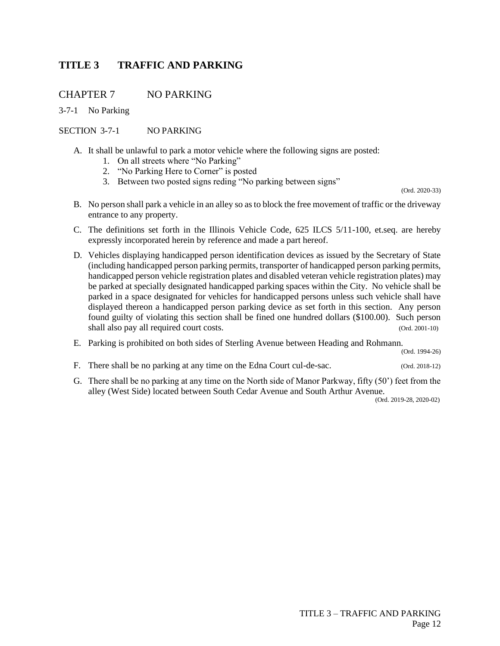## <span id="page-13-0"></span>CHAPTER 7 NO PARKING

3-7-1 No Parking

### SECTION 3-7-1 NO PARKING

- A. It shall be unlawful to park a motor vehicle where the following signs are posted:
	- 1. On all streets where "No Parking"
	- 2. "No Parking Here to Corner" is posted
	- 3. Between two posted signs reding "No parking between signs"

(Ord. 2020-33)

- B. No person shall park a vehicle in an alley so as to block the free movement of traffic or the driveway entrance to any property.
- C. The definitions set forth in the Illinois Vehicle Code, 625 ILCS 5/11-100, et.seq. are hereby expressly incorporated herein by reference and made a part hereof.
- D. Vehicles displaying handicapped person identification devices as issued by the Secretary of State (including handicapped person parking permits, transporter of handicapped person parking permits, handicapped person vehicle registration plates and disabled veteran vehicle registration plates) may be parked at specially designated handicapped parking spaces within the City. No vehicle shall be parked in a space designated for vehicles for handicapped persons unless such vehicle shall have displayed thereon a handicapped person parking device as set forth in this section. Any person found guilty of violating this section shall be fined one hundred dollars (\$100.00). Such person shall also pay all required court costs. (Ord. 2001-10)
- E. Parking is prohibited on both sides of Sterling Avenue between Heading and Rohmann.

(Ord. 1994-26)

- F. There shall be no parking at any time on the Edna Court cul-de-sac. (Ord. 2018-12)
- G. There shall be no parking at any time on the North side of Manor Parkway, fifty (50') feet from the alley (West Side) located between South Cedar Avenue and South Arthur Avenue.

(Ord. 2019-28, 2020-02)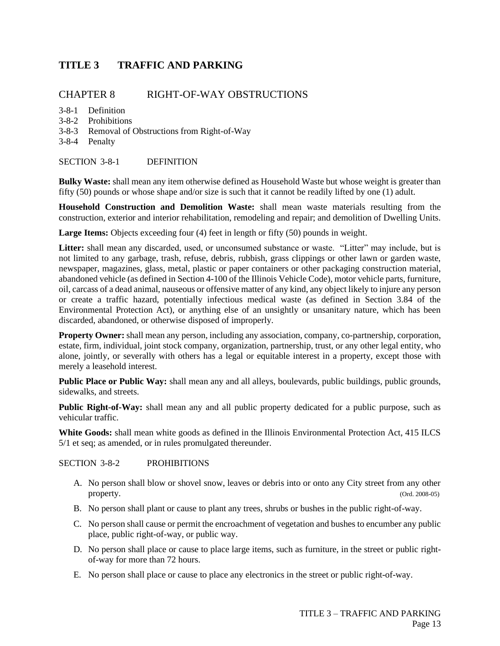## <span id="page-14-0"></span>CHAPTER 8 RIGHT-OF-WAY OBSTRUCTIONS

- 3-8-1 Definition
- 3-8-2 Prohibitions
- 3-8-3 Removal of Obstructions from Right-of-Way
- 3-8-4 Penalty

#### SECTION 3-8-1 DEFINITION

**Bulky Waste:** shall mean any item otherwise defined as Household Waste but whose weight is greater than fifty (50) pounds or whose shape and/or size is such that it cannot be readily lifted by one (1) adult.

**Household Construction and Demolition Waste:** shall mean waste materials resulting from the construction, exterior and interior rehabilitation, remodeling and repair; and demolition of Dwelling Units.

Large Items: Objects exceeding four (4) feet in length or fifty (50) pounds in weight.

**Litter:** shall mean any discarded, used, or unconsumed substance or waste. "Litter" may include, but is not limited to any garbage, trash, refuse, debris, rubbish, grass clippings or other lawn or garden waste, newspaper, magazines, glass, metal, plastic or paper containers or other packaging construction material, abandoned vehicle (as defined in Section 4-100 of the Illinois Vehicle Code), motor vehicle parts, furniture, oil, carcass of a dead animal, nauseous or offensive matter of any kind, any object likely to injure any person or create a traffic hazard, potentially infectious medical waste (as defined in Section 3.84 of the Environmental Protection Act), or anything else of an unsightly or unsanitary nature, which has been discarded, abandoned, or otherwise disposed of improperly.

**Property Owner:** shall mean any person, including any association, company, co-partnership, corporation, estate, firm, individual, joint stock company, organization, partnership, trust, or any other legal entity, who alone, jointly, or severally with others has a legal or equitable interest in a property, except those with merely a leasehold interest.

**Public Place or Public Way:** shall mean any and all alleys, boulevards, public buildings, public grounds, sidewalks, and streets.

**Public Right-of-Way:** shall mean any and all public property dedicated for a public purpose, such as vehicular traffic.

**White Goods:** shall mean white goods as defined in the Illinois Environmental Protection Act, 415 ILCS 5/1 et seq; as amended, or in rules promulgated thereunder.

### SECTION 3-8-2 PROHIBITIONS

- A. No person shall blow or shovel snow, leaves or debris into or onto any City street from any other property. (Ord. 2008-05)
- B. No person shall plant or cause to plant any trees, shrubs or bushes in the public right-of-way.
- C. No person shall cause or permit the encroachment of vegetation and bushes to encumber any public place, public right-of-way, or public way.
- D. No person shall place or cause to place large items, such as furniture, in the street or public rightof-way for more than 72 hours.
- E. No person shall place or cause to place any electronics in the street or public right-of-way.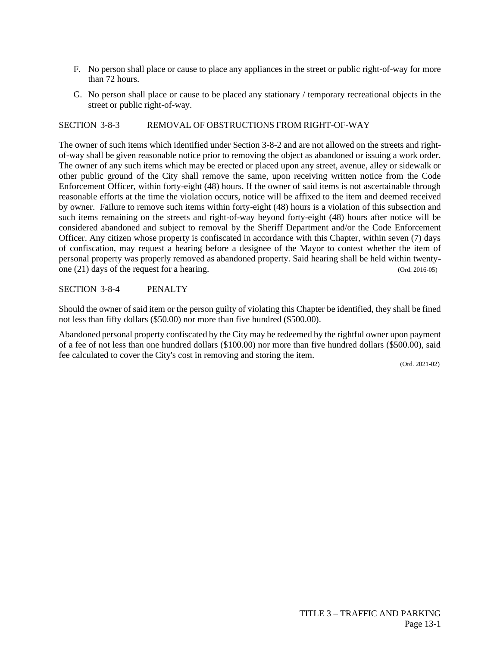- F. No person shall place or cause to place any appliances in the street or public right-of-way for more than 72 hours.
- G. No person shall place or cause to be placed any stationary / temporary recreational objects in the street or public right-of-way.

### SECTION 3-8-3 REMOVAL OF OBSTRUCTIONS FROM RIGHT-OF-WAY

The owner of such items which identified under Section 3-8-2 and are not allowed on the streets and rightof-way shall be given reasonable notice prior to removing the object as abandoned or issuing a work order. The owner of any such items which may be erected or placed upon any street, avenue, alley or sidewalk or other public ground of the City shall remove the same, upon receiving written notice from the Code Enforcement Officer, within forty-eight (48) hours. If the owner of said items is not ascertainable through reasonable efforts at the time the violation occurs, notice will be affixed to the item and deemed received by owner. Failure to remove such items within forty-eight (48) hours is a violation of this subsection and such items remaining on the streets and right-of-way beyond forty-eight (48) hours after notice will be considered abandoned and subject to removal by the Sheriff Department and/or the Code Enforcement Officer. Any citizen whose property is confiscated in accordance with this Chapter, within seven (7) days of confiscation, may request a hearing before a designee of the Mayor to contest whether the item of personal property was properly removed as abandoned property. Said hearing shall be held within twentyone (21) days of the request for a hearing. (Ord. 2016-05)

#### SECTION 3-8-4 PENALTY

Should the owner of said item or the person guilty of violating this Chapter be identified, they shall be fined not less than fifty dollars (\$50.00) nor more than five hundred (\$500.00).

Abandoned personal property confiscated by the City may be redeemed by the rightful owner upon payment of a fee of not less than one hundred dollars (\$100.00) nor more than five hundred dollars (\$500.00), said fee calculated to cover the City's cost in removing and storing the item.

(Ord. 2021-02)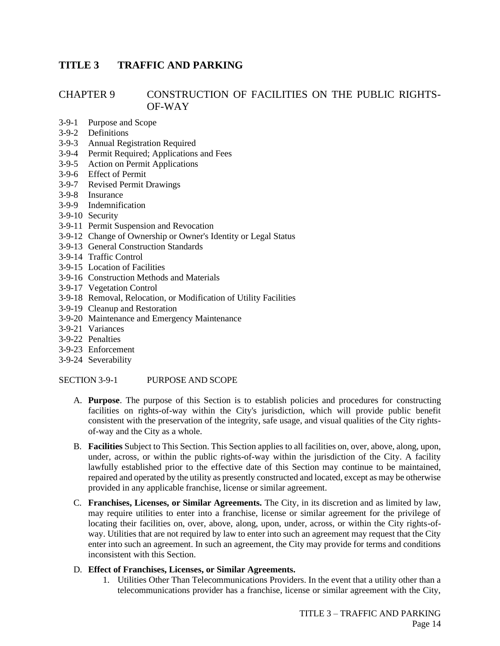## <span id="page-16-0"></span>CHAPTER 9 CONSTRUCTION OF FACILITIES ON THE PUBLIC RIGHTS-OF-WAY

- 3-9-1 Purpose and Scope
- 3-9-2 Definitions
- 3-9-3 Annual Registration Required
- 3-9-4 Permit Required; Applications and Fees
- 3-9-5 Action on Permit Applications
- 3-9-6 Effect of Permit
- 3-9-7 Revised Permit Drawings
- 3-9-8 Insurance
- 3-9-9 Indemnification
- 3-9-10 Security
- 3-9-11 Permit Suspension and Revocation
- 3-9-12 Change of Ownership or Owner's Identity or Legal Status
- 3-9-13 General Construction Standards
- 3-9-14 Traffic Control
- 3-9-15 Location of Facilities
- 3-9-16 Construction Methods and Materials
- 3-9-17 Vegetation Control
- 3-9-18 Removal, Relocation, or Modification of Utility Facilities
- 3-9-19 Cleanup and Restoration
- 3-9-20 Maintenance and Emergency Maintenance
- 3-9-21 Variances
- 3-9-22 Penalties
- 3-9-23 Enforcement
- 3-9-24 Severability

SECTION 3-9-1 PURPOSE AND SCOPE

- A. **Purpose**. The purpose of this Section is to establish policies and procedures for constructing facilities on rights-of-way within the City's jurisdiction, which will provide public benefit consistent with the preservation of the integrity, safe usage, and visual qualities of the City rightsof-way and the City as a whole.
- B. **Facilities** Subject to This Section. This Section applies to all facilities on, over, above, along, upon, under, across, or within the public rights-of-way within the jurisdiction of the City. A facility lawfully established prior to the effective date of this Section may continue to be maintained, repaired and operated by the utility as presently constructed and located, except as may be otherwise provided in any applicable franchise, license or similar agreement.
- C. **Franchises, Licenses, or Similar Agreements.** The City, in its discretion and as limited by law, may require utilities to enter into a franchise, license or similar agreement for the privilege of locating their facilities on, over, above, along, upon, under, across, or within the City rights-ofway. Utilities that are not required by law to enter into such an agreement may request that the City enter into such an agreement. In such an agreement, the City may provide for terms and conditions inconsistent with this Section.

### D. **Effect of Franchises, Licenses, or Similar Agreements.**

1. Utilities Other Than Telecommunications Providers. In the event that a utility other than a telecommunications provider has a franchise, license or similar agreement with the City,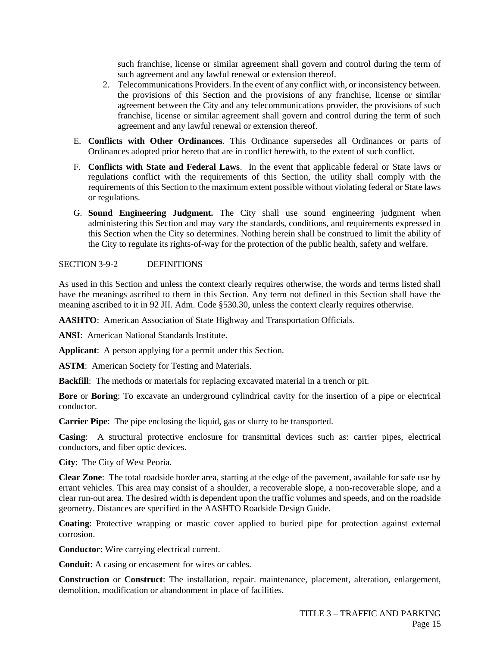such franchise, license or similar agreement shall govern and control during the term of such agreement and any lawful renewal or extension thereof.

- 2. Telecommunications Providers. In the event of any conflict with, or inconsistency between. the provisions of this Section and the provisions of any franchise, license or similar agreement between the City and any telecommunications provider, the provisions of such franchise, license or similar agreement shall govern and control during the term of such agreement and any lawful renewal or extension thereof.
- E. **Conflicts with Other Ordinances**. This Ordinance supersedes all Ordinances or parts of Ordinances adopted prior hereto that are in conflict herewith, to the extent of such conflict.
- F. **Conflicts with State and Federal Laws**. In the event that applicable federal or State laws or regulations conflict with the requirements of this Section, the utility shall comply with the requirements of this Section to the maximum extent possible without violating federal or State laws or regulations.
- G. **Sound Engineering Judgment.** The City shall use sound engineering judgment when administering this Section and may vary the standards, conditions, and requirements expressed in this Section when the City so determines. Nothing herein shall be construed to limit the ability of the City to regulate its rights-of-way for the protection of the public health, safety and welfare.

### SECTION 3-9-2 DEFINITIONS

As used in this Section and unless the context clearly requires otherwise, the words and terms listed shall have the meanings ascribed to them in this Section. Any term not defined in this Section shall have the meaning ascribed to it in 92 JII. Adm. Code §530.30, unless the context clearly requires otherwise.

**AASHTO**: American Association of State Highway and Transportation Officials.

**ANSI**: American National Standards Institute.

**Applicant**: A person applying for a permit under this Section.

**ASTM:** American Society for Testing and Materials.

**Backfill**: The methods or materials for replacing excavated material in a trench or pit.

**Bore** or **Boring**: To excavate an underground cylindrical cavity for the insertion of a pipe or electrical conductor.

**Carrier Pipe**: The pipe enclosing the liquid, gas or slurry to be transported.

**Casing**: A structural protective enclosure for transmittal devices such as: carrier pipes, electrical conductors, and fiber optic devices.

**City**: The City of West Peoria.

**Clear Zone**: The total roadside border area, starting at the edge of the pavement, available for safe use by errant vehicles. This area may consist of a shoulder, a recoverable slope, a non-recoverable slope, and a clear run-out area. The desired width is dependent upon the traffic volumes and speeds, and on the roadside geometry. Distances are specified in the AASHTO Roadside Design Guide.

**Coating**: Protective wrapping or mastic cover applied to buried pipe for protection against external corrosion.

**Conductor**: Wire carrying electrical current.

**Conduit**: A casing or encasement for wires or cables.

**Construction** or **Construct**: The installation, repair. maintenance, placement, alteration, enlargement, demolition, modification or abandonment in place of facilities.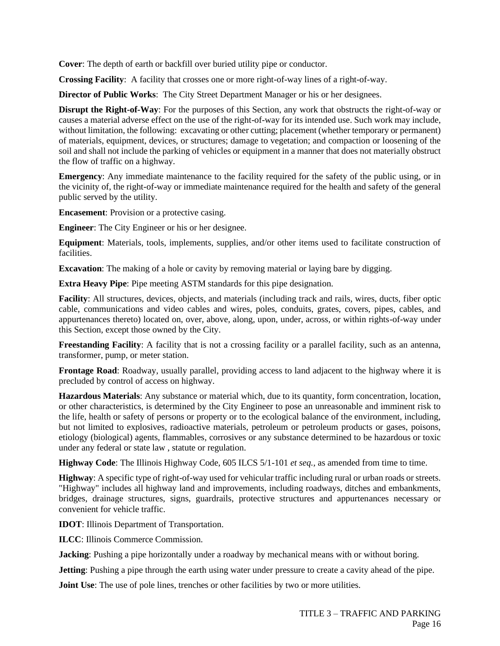**Cover**: The depth of earth or backfill over buried utility pipe or conductor.

**Crossing Facility**: A facility that crosses one or more right-of-way lines of a right-of-way.

**Director of Public Works**: The City Street Department Manager or his or her designees.

**Disrupt the Right-of-Way**: For the purposes of this Section, any work that obstructs the right-of-way or causes a material adverse effect on the use of the right-of-way for its intended use. Such work may include, without limitation, the following: excavating or other cutting; placement (whether temporary or permanent) of materials, equipment, devices, or structures; damage to vegetation; and compaction or loosening of the soil and shall not include the parking of vehicles or equipment in a manner that does not materially obstruct the flow of traffic on a highway.

**Emergency**: Any immediate maintenance to the facility required for the safety of the public using, or in the vicinity of, the right-of-way or immediate maintenance required for the health and safety of the general public served by the utility.

**Encasement**: Provision or a protective casing.

**Engineer**: The City Engineer or his or her designee.

**Equipment**: Materials, tools, implements, supplies, and/or other items used to facilitate construction of facilities.

**Excavation**: The making of a hole or cavity by removing material or laying bare by digging.

**Extra Heavy Pipe**: Pipe meeting ASTM standards for this pipe designation.

**Facility**: All structures, devices, objects, and materials (including track and rails, wires, ducts, fiber optic cable, communications and video cables and wires, poles, conduits, grates, covers, pipes, cables, and appurtenances thereto) located on, over, above, along, upon, under, across, or within rights-of-way under this Section, except those owned by the City.

**Freestanding Facility**: A facility that is not a crossing facility or a parallel facility, such as an antenna, transformer, pump, or meter station.

**Frontage Road**: Roadway, usually parallel, providing access to land adjacent to the highway where it is precluded by control of access on highway.

**Hazardous Materials**: Any substance or material which, due to its quantity, form concentration, location, or other characteristics, is determined by the City Engineer to pose an unreasonable and imminent risk to the life, health or safety of persons or property or to the ecological balance of the environment, including, but not limited to explosives, radioactive materials, petroleum or petroleum products or gases, poisons, etiology (biological) agents, flammables, corrosives or any substance determined to be hazardous or toxic under any federal or state law , statute or regulation.

**Highway Code**: The Illinois Highway Code, 605 ILCS 5/1-101 *et seq.,* as amended from time to time.

**Highway**: A specific type of right-of-way used for vehicular traffic including rural or urban roads or streets. "Highway" includes all highway land and improvements, including roadways, ditches and embankments, bridges, drainage structures, signs, guardrails, protective structures and appurtenances necessary or convenient for vehicle traffic.

**IDOT**: Illinois Department of Transportation.

**ILCC**: Illinois Commerce Commission.

**Jacking**: Pushing a pipe horizontally under a roadway by mechanical means with or without boring.

**Jetting**: Pushing a pipe through the earth using water under pressure to create a cavity ahead of the pipe.

**Joint Use**: The use of pole lines, trenches or other facilities by two or more utilities.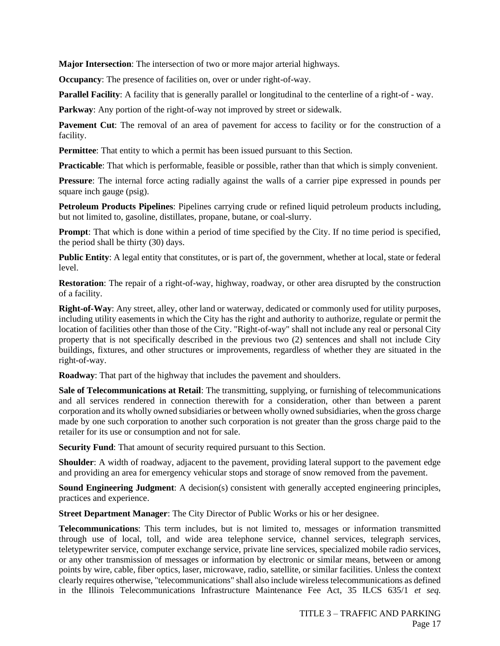**Major Intersection**: The intersection of two or more major arterial highways.

**Occupancy:** The presence of facilities on, over or under right-of-way.

**Parallel Facility:** A facility that is generally parallel or longitudinal to the centerline of a right-of - way.

**Parkway:** Any portion of the right-of-way not improved by street or sidewalk.

**Pavement Cut**: The removal of an area of pavement for access to facility or for the construction of a facility.

**Permittee**: That entity to which a permit has been issued pursuant to this Section.

**Practicable:** That which is performable, feasible or possible, rather than that which is simply convenient.

**Pressure**: The internal force acting radially against the walls of a carrier pipe expressed in pounds per square inch gauge (psig).

**Petroleum Products Pipelines**: Pipelines carrying crude or refined liquid petroleum products including, but not limited to, gasoline, distillates, propane, butane, or coal-slurry.

**Prompt**: That which is done within a period of time specified by the City. If no time period is specified, the period shall be thirty (30) days.

**Public Entity:** A legal entity that constitutes, or is part of, the government, whether at local, state or federal level.

**Restoration**: The repair of a right-of-way, highway, roadway, or other area disrupted by the construction of a facility.

**Right-of-Way**: Any street, alley, other land or waterway, dedicated or commonly used for utility purposes, including utility easements in which the City has the right and authority to authorize, regulate or permit the location of facilities other than those of the City. "Right-of-way" shall not include any real or personal City property that is not specifically described in the previous two (2) sentences and shall not include City buildings, fixtures, and other structures or improvements, regardless of whether they are situated in the right-of-way.

**Roadway**: That part of the highway that includes the pavement and shoulders.

**Sale of Telecommunications at Retail**: The transmitting, supplying, or furnishing of telecommunications and all services rendered in connection therewith for a consideration, other than between a parent corporation and its wholly owned subsidiaries or between wholly owned subsidiaries, when the gross charge made by one such corporation to another such corporation is not greater than the gross charge paid to the retailer for its use or consumption and not for sale.

**Security Fund**: That amount of security required pursuant to this Section.

**Shoulder**: A width of roadway, adjacent to the pavement, providing lateral support to the pavement edge and providing an area for emergency vehicular stops and storage of snow removed from the pavement.

**Sound Engineering Judgment**: A decision(s) consistent with generally accepted engineering principles, practices and experience.

**Street Department Manager**: The City Director of Public Works or his or her designee.

**Telecommunications**: This term includes, but is not limited to, messages or information transmitted through use of local, toll, and wide area telephone service, channel services, telegraph services, teletypewriter service, computer exchange service, private line services, specialized mobile radio services, or any other transmission of messages or information by electronic or similar means, between or among points by wire, cable, fiber optics, laser, microwave, radio, satellite, or similar facilities. Unless the context clearly requires otherwise, "telecommunications" shall also include wireless telecommunications as defined in the Illinois Telecommunications Infrastructure Maintenance Fee Act, 35 ILCS 635/1 *et seq.*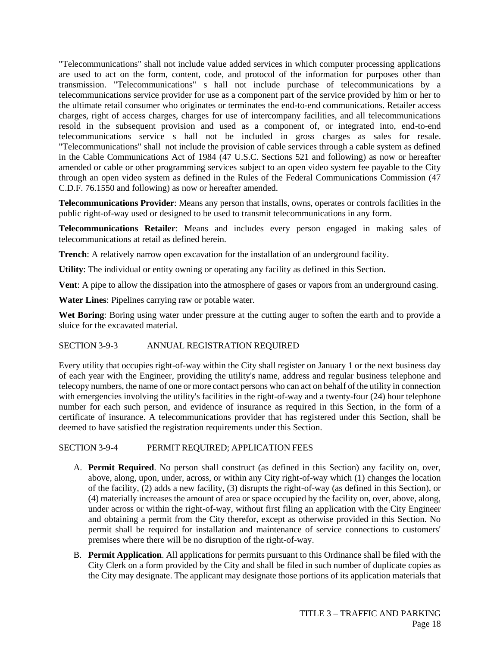"Telecommunications" shall not include value added services in which computer processing applications are used to act on the form, content, code, and protocol of the information for purposes other than transmission. "Telecommunications" s hall not include purchase of telecommunications by a telecommunications service provider for use as a component part of the service provided by him or her to the ultimate retail consumer who originates or terminates the end-to-end communications. Retailer access charges, right of access charges, charges for use of intercompany facilities, and all telecommunications resold in the subsequent provision and used as a component of, or integrated into, end-to-end telecommunications service s hall not be included in gross charges as sales for resale. "Telecommunications" shall not include the provision of cable services through a cable system as defined in the Cable Communications Act of 1984 (47 U.S.C. Sections 521 and following) as now or hereafter amended or cable or other programming services subject to an open video system fee payable to the City through an open video system as defined in the Rules of the Federal Communications Commission (47 C.D.F. 76.1550 and following) as now or hereafter amended.

**Telecommunications Provider**: Means any person that installs, owns, operates or controls facilities in the public right-of-way used or designed to be used to transmit telecommunications in any form.

**Telecommunications Retailer**: Means and includes every person engaged in making sales of telecommunications at retail as defined herein.

**Trench**: A relatively narrow open excavation for the installation of an underground facility.

**Utility**: The individual or entity owning or operating any facility as defined in this Section.

**Vent**: A pipe to allow the dissipation into the atmosphere of gases or vapors from an underground casing.

**Water Lines**: Pipelines carrying raw or potable water.

Wet Boring: Boring using water under pressure at the cutting auger to soften the earth and to provide a sluice for the excavated material.

### SECTION 3-9-3 ANNUAL REGISTRATION REQUIRED

Every utility that occupies right-of-way within the City shall register on January 1 or the next business day of each year with the Engineer, providing the utility's name, address and regular business telephone and telecopy numbers, the name of one or more contact persons who can act on behalf of the utility in connection with emergencies involving the utility's facilities in the right-of-way and a twenty-four (24) hour telephone number for each such person, and evidence of insurance as required in this Section, in the form of a certificate of insurance. A telecommunications provider that has registered under this Section, shall be deemed to have satisfied the registration requirements under this Section.

#### SECTION 3-9-4 PERMIT REQUIRED; APPLICATION FEES

- A. **Permit Required**. No person shall construct (as defined in this Section) any facility on, over, above, along, upon, under, across, or within any City right-of-way which (1) changes the location of the facility, (2) adds a new facility, (3) disrupts the right-of-way (as defined in this Section), or (4) materially increases the amount of area or space occupied by the facility on, over, above, along, under across or within the right-of-way, without first filing an application with the City Engineer and obtaining a permit from the City therefor, except as otherwise provided in this Section. No permit shall be required for installation and maintenance of service connections to customers' premises where there will be no disruption of the right-of-way.
- B. **Permit Application**. All applications for permits pursuant to this Ordinance shall be filed with the City Clerk on a form provided by the City and shall be filed in such number of duplicate copies as the City may designate. The applicant may designate those portions of its application materials that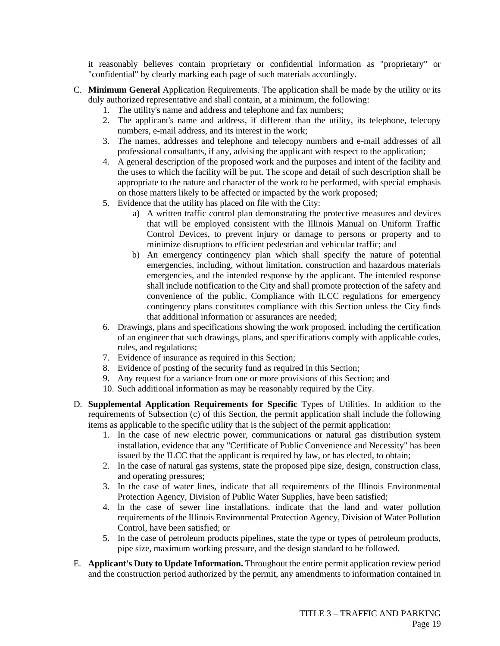it reasonably believes contain proprietary or confidential information as "proprietary" or "confidential" by clearly marking each page of such materials accordingly.

- C. **Minimum General** Application Requirements. The application shall be made by the utility or its duly authorized representative and shall contain, at a minimum, the following:
	- 1. The utility's name and address and telephone and fax numbers;
	- 2. The applicant's name and address, if different than the utility, its telephone, telecopy numbers, e-mail address, and its interest in the work;
	- 3. The names, addresses and telephone and telecopy numbers and e-mail addresses of all professional consultants, if any, advising the applicant with respect to the application;
	- 4. A general description of the proposed work and the purposes and intent of the facility and the uses to which the facility will be put. The scope and detail of such description shall be appropriate to the nature and character of the work to be performed, with special emphasis on those matters likely to be affected or impacted by the work proposed;
	- 5. Evidence that the utility has placed on file with the City:
		- a) A written traffic control plan demonstrating the protective measures and devices that will be employed consistent with the Illinois Manual on Uniform Traffic Control Devices, to prevent injury or damage to persons or property and to minimize disruptions to efficient pedestrian and vehicular traffic; and
		- b) An emergency contingency plan which shall specify the nature of potential emergencies, including, without limitation, construction and hazardous materials emergencies, and the intended response by the applicant. The intended response shall include notification to the City and shall promote protection of the safety and convenience of the public. Compliance with ILCC regulations for emergency contingency plans constitutes compliance with this Section unless the City finds that additional information or assurances are needed;
	- 6. Drawings, plans and specifications showing the work proposed, including the certification of an engineer that such drawings, plans, and specifications comply with applicable codes, rules, and regulations;
	- 7. Evidence of insurance as required in this Section;
	- 8. Evidence of posting of the security fund as required in this Section;
	- 9. Any request for a variance from one or more provisions of this Section; and
	- 10. Such additional information as may be reasonably required by the City.
- D. **Supplemental Application Requirements for Specific** Types of Utilities. In addition to the requirements of Subsection (c) of this Section, the permit application shall include the following items as applicable to the specific utility that is the subject of the permit application:
	- 1. In the case of new electric power, communications or natural gas distribution system installation, evidence that any "Certificate of Public Convenience and Necessity" has been issued by the ILCC that the applicant is required by law, or has elected, to obtain;
	- 2. In the case of natural gas systems, state the proposed pipe size, design, construction class, and operating pressures;
	- 3. In the case of water lines, indicate that all requirements of the Illinois Environmental Protection Agency, Division of Public Water Supplies, have been satisfied;
	- 4. ln the case of sewer line installations. indicate that the land and water pollution requirements of the Illinois Environmental Protection Agency, Division of Water Pollution Control, have been satisfied; or
	- 5. In the case of petroleum products pipelines, state the type or types of petroleum products, pipe size, maximum working pressure, and the design standard to be followed.
- E. **Applicant's Duty to Update Information.** Throughout the entire permit application review period and the construction period authorized by the permit, any amendments to information contained in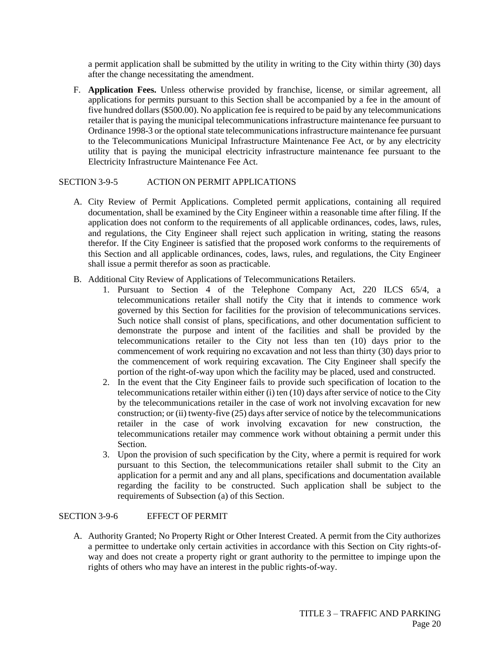a permit application shall be submitted by the utility in writing to the City within thirty (30) days after the change necessitating the amendment.

F. **Application Fees.** Unless otherwise provided by franchise, license, or similar agreement, all applications for permits pursuant to this Section shall be accompanied by a fee in the amount of five hundred dollars (\$500.00). No application fee is required to be paid by any telecommunications retailer that is paying the municipal telecommunications infrastructure maintenance fee pursuant to Ordinance 1998-3 or the optional state telecommunications infrastructure maintenance fee pursuant to the Telecommunications Municipal Infrastructure Maintenance Fee Act, or by any electricity utility that is paying the municipal electricity infrastructure maintenance fee pursuant to the Electricity Infrastructure Maintenance Fee Act.

### SECTION 3-9-5 ACTION ON PERMIT APPLICATIONS

- A. City Review of Permit Applications. Completed permit applications, containing all required documentation, shall be examined by the City Engineer within a reasonable time after filing. If the application does not conform to the requirements of all applicable ordinances, codes, laws, rules, and regulations, the City Engineer shall reject such application in writing, stating the reasons therefor. If the City Engineer is satisfied that the proposed work conforms to the requirements of this Section and all applicable ordinances, codes, laws, rules, and regulations, the City Engineer shall issue a permit therefor as soon as practicable.
- B. Additional City Review of Applications of Telecommunications Retailers.
	- 1. Pursuant to Section 4 of the Telephone Company Act, 220 ILCS 65/4, a telecommunications retailer shall notify the City that it intends to commence work governed by this Section for facilities for the provision of telecommunications services. Such notice shall consist of plans, specifications, and other documentation sufficient to demonstrate the purpose and intent of the facilities and shall be provided by the telecommunications retailer to the City not less than ten (10) days prior to the commencement of work requiring no excavation and not less than thirty (30) days prior to the commencement of work requiring excavation. The City Engineer shall specify the portion of the right-of-way upon which the facility may be placed, used and constructed.
	- 2. In the event that the City Engineer fails to provide such specification of location to the telecommunications retailer within either (i) ten (10) days after service of notice to the City by the telecommunications retailer in the case of work not involving excavation for new construction; or (ii) twenty-five (25) days after service of notice by the telecommunications retailer in the case of work involving excavation for new construction, the telecommunications retailer may commence work without obtaining a permit under this Section.
	- 3. Upon the provision of such specification by the City, where a permit is required for work pursuant to this Section, the telecommunications retailer shall submit to the City an application for a permit and any and all plans, specifications and documentation available regarding the facility to be constructed. Such application shall be subject to the requirements of Subsection (a) of this Section.

### SECTION 3-9-6 EFFECT OF PERMIT

A. Authority Granted; No Property Right or Other Interest Created. A permit from the City authorizes a permittee to undertake only certain activities in accordance with this Section on City rights-ofway and does not create a property right or grant authority to the permittee to impinge upon the rights of others who may have an interest in the public rights-of-way.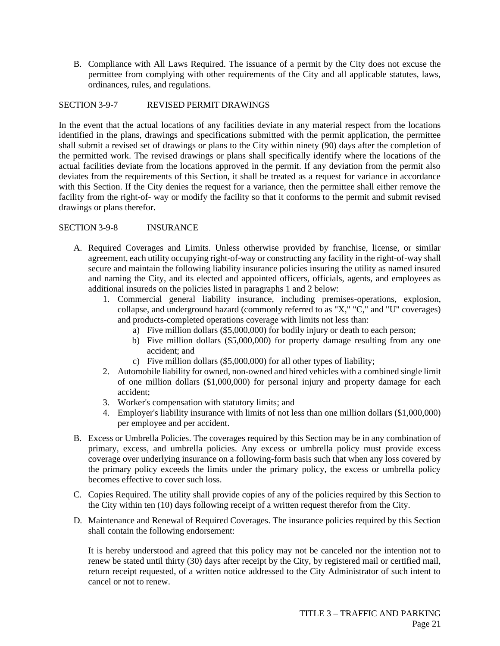B. Compliance with All Laws Required. The issuance of a permit by the City does not excuse the permittee from complying with other requirements of the City and all applicable statutes, laws, ordinances, rules, and regulations.

#### SECTION 3-9-7 REVISED PERMIT DRAWINGS

In the event that the actual locations of any facilities deviate in any material respect from the locations identified in the plans, drawings and specifications submitted with the permit application, the permittee shall submit a revised set of drawings or plans to the City within ninety (90) days after the completion of the permitted work. The revised drawings or plans shall specifically identify where the locations of the actual facilities deviate from the locations approved in the permit. If any deviation from the permit also deviates from the requirements of this Section, it shall be treated as a request for variance in accordance with this Section. If the City denies the request for a variance, then the permittee shall either remove the facility from the right-of- way or modify the facility so that it conforms to the permit and submit revised drawings or plans therefor.

#### SECTION 3-9-8 INSURANCE

- A. Required Coverages and Limits. Unless otherwise provided by franchise, license, or similar agreement, each utility occupying right-of-way or constructing any facility in the right-of-way shall secure and maintain the following liability insurance policies insuring the utility as named insured and naming the City, and its elected and appointed officers, officials, agents, and employees as additional insureds on the policies listed in paragraphs 1 and 2 below:
	- 1. Commercial general liability insurance, including premises-operations, explosion, collapse, and underground hazard (commonly referred to as "X," "C," and "U" coverages) and products-completed operations coverage with limits not less than:
		- a) Five million dollars (\$5,000,000) for bodily injury or death to each person;
		- b) Five million dollars (\$5,000,000) for property damage resulting from any one accident; and
		- c) Five million dollars (\$5,000,000) for all other types of liability;
	- 2. Automobile liability for owned, non-owned and hired vehicles with a combined single limit of one million dollars (\$1,000,000) for personal injury and property damage for each accident;
	- 3. Worker's compensation with statutory limits; and
	- 4. Employer's liability insurance with limits of not less than one million dollars (\$1,000,000) per employee and per accident.
- B. Excess or Umbrella Policies. The coverages required by this Section may be in any combination of primary, excess, and umbrella policies. Any excess or umbrella policy must provide excess coverage over underlying insurance on a following-form basis such that when any loss covered by the primary policy exceeds the limits under the primary policy, the excess or umbrella policy becomes effective to cover such loss.
- C. Copies Required. The utility shall provide copies of any of the policies required by this Section to the City within ten (10) days following receipt of a written request therefor from the City.
- D. Maintenance and Renewal of Required Coverages. The insurance policies required by this Section shall contain the following endorsement:

It is hereby understood and agreed that this policy may not be canceled nor the intention not to renew be stated until thirty (30) days after receipt by the City, by registered mail or certified mail, return receipt requested, of a written notice addressed to the City Administrator of such intent to cancel or not to renew.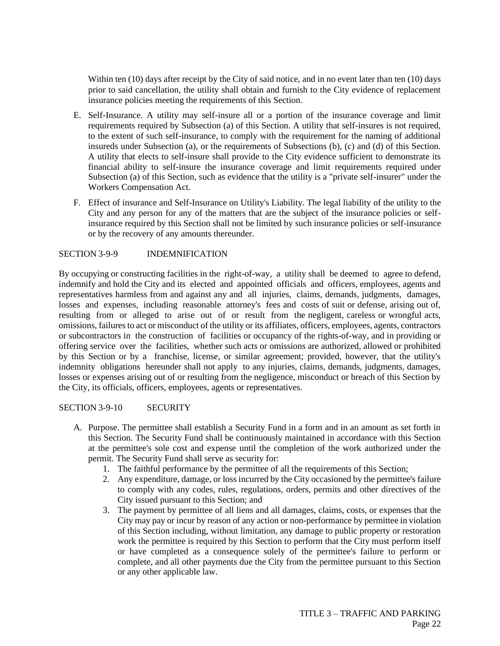Within ten (10) days after receipt by the City of said notice, and in no event later than ten (10) days prior to said cancellation, the utility shall obtain and furnish to the City evidence of replacement insurance policies meeting the requirements of this Section.

- E. Self-Insurance. A utility may self-insure all or a portion of the insurance coverage and limit requirements required by Subsection (a) of this Section. A utility that self-insures is not required, to the extent of such self-insurance, to comply with the requirement for the naming of additional insureds under Subsection (a), or the requirements of Subsections (b), (c) and (d) of this Section. A utility that elects to self-insure shall provide to the City evidence sufficient to demonstrate its financial ability to self-insure the insurance coverage and limit requirements required under Subsection (a) of this Section, such as evidence that the utility is a "private self-insurer" under the Workers Compensation Act.
- F. Effect of insurance and Self-Insurance on Utility's Liability. The legal liability of the utility to the City and any person for any of the matters that are the subject of the insurance policies or selfinsurance required by this Section shall not be limited by such insurance policies or self-insurance or by the recovery of any amounts thereunder.

### SECTION 3-9-9 INDEMNIFICATION

By occupying or constructing facilities in the right-of-way, a utility shall be deemed to agree to defend, indemnify and hold the City and its elected and appointed officials and officers, employees, agents and representatives harmless from and against any and all injuries, claims, demands, judgments, damages, losses and expenses, including reasonable attorney's fees and costs of suit or defense, arising out of, resulting from or alleged to arise out of or result from the negligent, careless or wrongful acts, omissions, failures to act or misconduct of the utility or its affiliates, officers, employees, agents, contractors or subcontractors in the construction of facilities or occupancy of the rights-of-way, and in providing or offering service over the facilities, whether such acts or omissions are authorized, allowed or prohibited by this Section or by a franchise, license, or similar agreement; provided, however, that the utility's indemnity obligations hereunder shall not apply to any injuries, claims, demands, judgments, damages, losses or expenses arising out of or resulting from the negligence, misconduct or breach of this Section by the City, its officials, officers, employees, agents or representatives.

### SECTION 3-9-10 SECURITY

- A. Purpose. The permittee shall establish a Security Fund in a form and in an amount as set forth in this Section. The Security Fund shall be continuously maintained in accordance with this Section at the permittee's sole cost and expense until the completion of the work authorized under the permit. The Security Fund shall serve as security for:
	- 1. The faithful performance by the permittee of all the requirements of this Section;
	- 2. Any expenditure, damage, or loss incurred by the City occasioned by the permittee's failure to comply with any codes, rules, regulations, orders, permits and other directives of the City issued pursuant to this Section; and
	- 3. The payment by permittee of all liens and all damages, claims, costs, or expenses that the City may pay or incur by reason of any action or non-performance by permittee in violation of this Section including, without limitation, any damage to public property or restoration work the permittee is required by this Section to perform that the City must perform itself or have completed as a consequence solely of the permittee's failure to perform or complete, and all other payments due the City from the permittee pursuant to this Section or any other applicable law.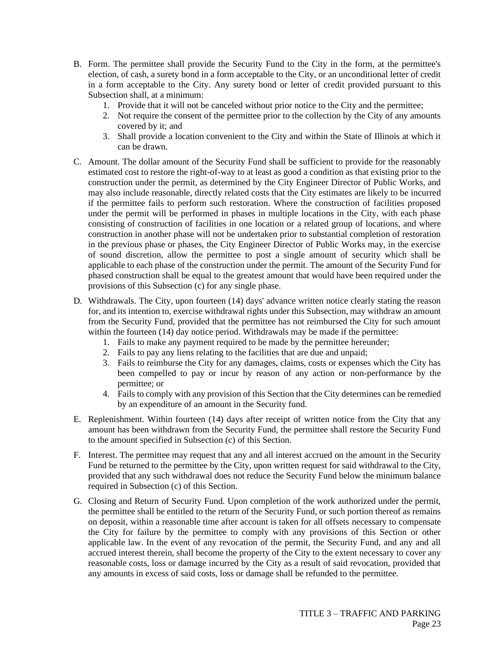- B. Form. The permittee shall provide the Security Fund to the City in the form, at the permittee's election, of cash, a surety bond in a form acceptable to the City, or an unconditional letter of credit in a form acceptable to the City. Any surety bond or letter of credit provided pursuant to this Subsection shall, at a minimum:
	- 1. Provide that it will not be canceled without prior notice to the City and the permittee;
	- 2. Not require the consent of the permittee prior to the collection by the City of any amounts covered by it; and
	- 3. Shall provide a location convenient to the City and within the State of Illinois at which it can be drawn.
- C. Amount. The dollar amount of the Security Fund shall be sufficient to provide for the reasonably estimated cost to restore the right-of-way to at least as good a condition as that existing prior to the construction under the permit, as determined by the City Engineer Director of Public Works, and may also include reasonable, directly related costs that the City estimates are likely to be incurred if the permittee fails to perform such restoration. Where the construction of facilities proposed under the permit will be performed in phases in multiple locations in the City, with each phase consisting of construction of facilities in one location or a related group of locations, and where construction in another phase will not be undertaken prior to substantial completion of restoration in the previous phase or phases, the City Engineer Director of Public Works may, in the exercise of sound discretion, allow the permittee to post a single amount of security which shall be applicable to each phase of the construction under the permit. The amount of the Security Fund for phased construction shall be equal to the greatest amount that would have been required under the provisions of this Subsection (c) for any single phase.
- D. Withdrawals. The City, upon fourteen (14) days' advance written notice clearly stating the reason for, and its intention to, exercise withdrawal rights under this Subsection, may withdraw an amount from the Security Fund, provided that the permittee has not reimbursed the City for such amount within the fourteen (14) day notice period. Withdrawals may be made if the permittee:
	- 1. Fails to make any payment required to be made by the permittee hereunder;
	- 2. Fails to pay any liens relating to the facilities that are due and unpaid;
	- 3. Fails to reimburse the City for any damages, claims, costs or expenses which the City has been compelled to pay or incur by reason of any action or non-performance by the permittee; or
	- 4. Fails to comply with any provision of this Section that the City determines can be remedied by an expenditure of an amount in the Security fund.
- E. Replenishment. Within fourteen (14) days after receipt of written notice from the City that any amount has been withdrawn from the Security Fund, the permittee shall restore the Security Fund to the amount specified in Subsection (c) of this Section.
- F. Interest. The permittee may request that any and all interest accrued on the amount in the Security Fund be returned to the permittee by the City, upon written request for said withdrawal to the City, provided that any such withdrawal does not reduce the Security Fund below the minimum balance required in Subsection (c) of this Section.
- G. Closing and Return of Security Fund. Upon completion of the work authorized under the permit, the permittee shall be entitled to the return of the Security Fund, or such portion thereof as remains on deposit, within a reasonable time after account is taken for all offsets necessary to compensate the City for failure by the permittee to comply with any provisions of this Section or other applicable law. In the event of any revocation of the permit, the Security Fund, and any and all accrued interest therein, shall become the property of the City to the extent necessary to cover any reasonable costs, loss or damage incurred by the City as a result of said revocation, provided that any amounts in excess of said costs, loss or damage shall be refunded to the permittee.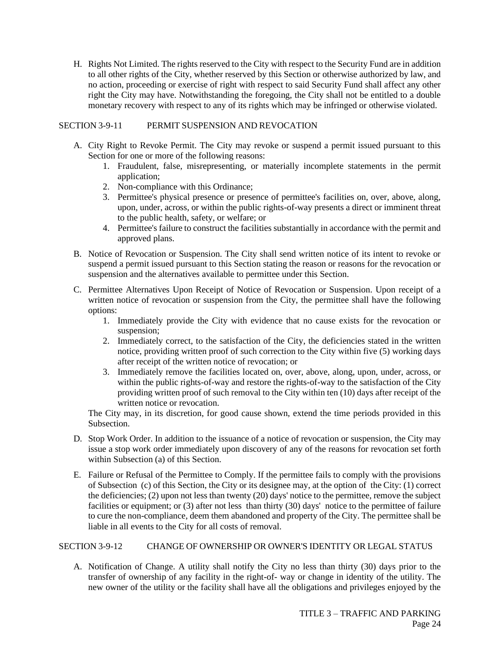H. Rights Not Limited. The rights reserved to the City with respect to the Security Fund are in addition to all other rights of the City, whether reserved by this Section or otherwise authorized by law, and no action, proceeding or exercise of right with respect to said Security Fund shall affect any other right the City may have. Notwithstanding the foregoing, the City shall not be entitled to a double monetary recovery with respect to any of its rights which may be infringed or otherwise violated.

### SECTION 3-9-11 PERMIT SUSPENSION AND REVOCATION

- A. City Right to Revoke Permit. The City may revoke or suspend a permit issued pursuant to this Section for one or more of the following reasons:
	- 1. Fraudulent, false, misrepresenting, or materially incomplete statements in the permit application;
	- 2. Non-compliance with this Ordinance;
	- 3. Permittee's physical presence or presence of permittee's facilities on, over, above, along, upon, under, across, or within the public rights-of-way presents a direct or imminent threat to the public health, safety, or welfare; or
	- 4. Permittee's failure to construct the facilities substantially in accordance with the permit and approved plans.
- B. Notice of Revocation or Suspension. The City shall send written notice of its intent to revoke or suspend a permit issued pursuant to this Section stating the reason or reasons for the revocation or suspension and the alternatives available to permittee under this Section.
- C. Permittee Alternatives Upon Receipt of Notice of Revocation or Suspension. Upon receipt of a written notice of revocation or suspension from the City, the permittee shall have the following options:
	- 1. Immediately provide the City with evidence that no cause exists for the revocation or suspension;
	- 2. Immediately correct, to the satisfaction of the City, the deficiencies stated in the written notice, providing written proof of such correction to the City within five (5) working days after receipt of the written notice of revocation; or
	- 3. Immediately remove the facilities located on, over, above, along, upon, under, across, or within the public rights-of-way and restore the rights-of-way to the satisfaction of the City providing written proof of such removal to the City within ten (10) days after receipt of the written notice or revocation.

The City may, in its discretion, for good cause shown, extend the time periods provided in this Subsection.

- D. Stop Work Order. In addition to the issuance of a notice of revocation or suspension, the City may issue a stop work order immediately upon discovery of any of the reasons for revocation set forth within Subsection (a) of this Section.
- E. Failure or Refusal of the Permittee to Comply. If the permittee fails to comply with the provisions of Subsection (c) of this Section, the City or its designee may, at the option of the City: (1) correct the deficiencies; (2) upon not less than twenty (20) days' notice to the permittee, remove the subject facilities or equipment; or (3) after not less than thirty (30) days' notice to the permittee of failure to cure the non-compliance, deem them abandoned and property of the City. The permittee shall be liable in all events to the City for all costs of removal.

### SECTION 3-9-12 CHANGE OF OWNERSHIP OR OWNER'S IDENTITY OR LEGAL STATUS

A. Notification of Change. A utility shall notify the City no less than thirty (30) days prior to the transfer of ownership of any facility in the right-of- way or change in identity of the utility. The new owner of the utility or the facility shall have all the obligations and privileges enjoyed by the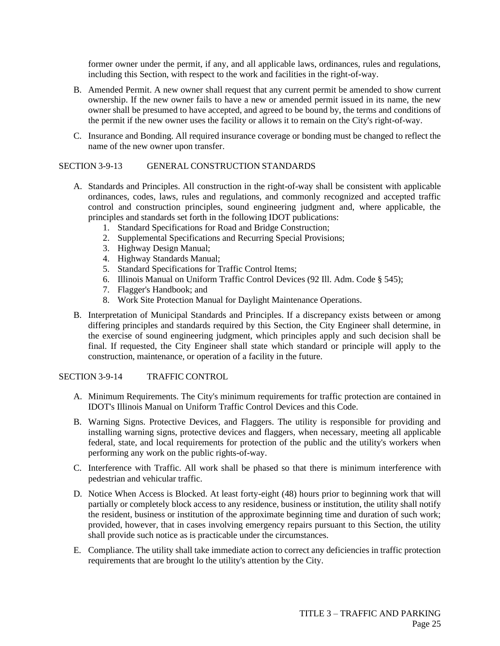former owner under the permit, if any, and all applicable laws, ordinances, rules and regulations, including this Section, with respect to the work and facilities in the right-of-way.

- B. Amended Permit. A new owner shall request that any current permit be amended to show current ownership. If the new owner fails to have a new or amended permit issued in its name, the new owner shall be presumed to have accepted, and agreed to be bound by, the terms and conditions of the permit if the new owner uses the facility or allows it to remain on the City's right-of-way.
- C. Insurance and Bonding. All required insurance coverage or bonding must be changed to reflect the name of the new owner upon transfer.

#### SECTION 3-9-13 GENERAL CONSTRUCTION STANDARDS

- A. Standards and Principles. All construction in the right-of-way shall be consistent with applicable ordinances, codes, laws, rules and regulations, and commonly recognized and accepted traffic control and construction principles, sound engineering judgment and, where applicable, the principles and standards set forth in the following IDOT publications:
	- 1. Standard Specifications for Road and Bridge Construction;
	- 2. Supplemental Specifications and Recurring Special Provisions;
	- 3. Highway Design Manual;
	- 4. Highway Standards Manual;
	- 5. Standard Specifications for Traffic Control Items;
	- 6. Illinois Manual on Uniform Traffic Control Devices (92 Ill. Adm. Code § 545);
	- 7. Flagger's Handbook; and
	- 8. Work Site Protection Manual for Daylight Maintenance Operations.
- B. Interpretation of Municipal Standards and Principles. If a discrepancy exists between or among differing principles and standards required by this Section, the City Engineer shall determine, in the exercise of sound engineering judgment, which principles apply and such decision shall be final. If requested, the City Engineer shall state which standard or principle will apply to the construction, maintenance, or operation of a facility in the future.

SECTION 3-9-14 TRAFFIC CONTROL

- A. Minimum Requirements. The City's minimum requirements for traffic protection are contained in IDOT's Illinois Manual on Uniform Traffic Control Devices and this Code.
- B. Warning Signs. Protective Devices, and Flaggers. The utility is responsible for providing and installing warning signs, protective devices and flaggers, when necessary, meeting all applicable federal, state, and local requirements for protection of the public and the utility's workers when performing any work on the public rights-of-way.
- C. Interference with Traffic. All work shall be phased so that there is minimum interference with pedestrian and vehicular traffic.
- D. Notice When Access is Blocked. At least forty-eight (48) hours prior to beginning work that will partially or completely block access to any residence, business or institution, the utility shall notify the resident, business or institution of the approximate beginning time and duration of such work; provided, however, that in cases involving emergency repairs pursuant to this Section, the utility shall provide such notice as is practicable under the circumstances.
- E. Compliance. The utility shall take immediate action to correct any deficiencies in traffic protection requirements that are brought lo the utility's attention by the City.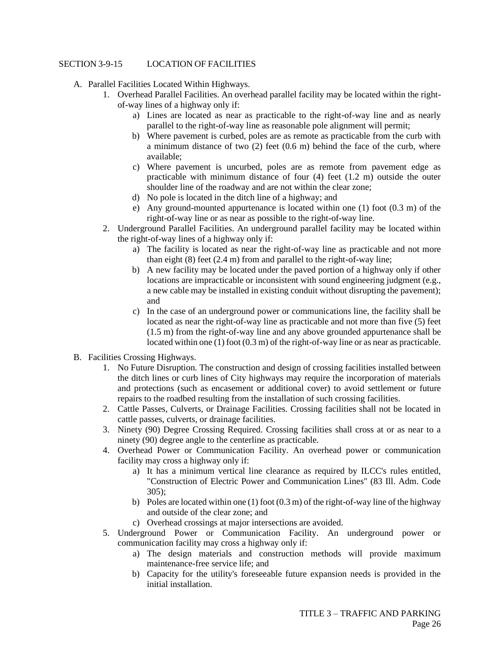### SECTION 3-9-15 LOCATION OF FACILITIES

- A. Parallel Facilities Located Within Highways.
	- 1. Overhead Parallel Facilities. An overhead parallel facility may be located within the rightof-way lines of a highway only if:
		- a) Lines are located as near as practicable to the right-of-way line and as nearly parallel to the right-of-way line as reasonable pole alignment will permit;
		- b) Where pavement is curbed, poles are as remote as practicable from the curb with a minimum distance of two (2) feet (0.6 m) behind the face of the curb, where available;
		- c) Where pavement is uncurbed, poles are as remote from pavement edge as practicable with minimum distance of four (4) feet (1.2 m) outside the outer shoulder line of the roadway and are not within the clear zone;
		- d) No pole is located in the ditch line of a highway; and
		- e) Any ground-mounted appurtenance is located within one (1) foot (0.3 m) of the right-of-way line or as near as possible to the right-of-way line.
	- 2. Underground Parallel Facilities. An underground parallel facility may be located within the right-of-way lines of a highway only if:
		- a) The facility is located as near the right-of-way line as practicable and not more than eight (8) feet (2.4 m) from and parallel to the right-of-way line;
		- b) A new facility may be located under the paved portion of a highway only if other locations are impracticable or inconsistent with sound engineering judgment (e.g., a new cable may be installed in existing conduit without disrupting the pavement); and
		- c) In the case of an underground power or communications line, the facility shall be located as near the right-of-way line as practicable and not more than five (5) feet (1.5 m) from the right-of-way line and any above grounded appurtenance shall be located within one (1) foot (0.3 m) of the right-of-way line or as near as practicable.
- B. Facilities Crossing Highways.
	- 1. No Future Disruption. The construction and design of crossing facilities installed between the ditch lines or curb lines of City highways may require the incorporation of materials and protections (such as encasement or additional cover) to avoid settlement or future repairs to the roadbed resulting from the installation of such crossing facilities.
	- 2. Cattle Passes, Culverts, or Drainage Facilities. Crossing facilities shall not be located in cattle passes, culverts, or drainage facilities.
	- 3. Ninety (90) Degree Crossing Required. Crossing facilities shall cross at or as near to a ninety (90) degree angle to the centerline as practicable.
	- 4. Overhead Power or Communication Facility. An overhead power or communication facility may cross a highway only if:
		- a) It has a minimum vertical line clearance as required by ILCC's rules entitled, "Construction of Electric Power and Communication Lines" (83 Ill. Adm. Code  $305$
		- b) Poles are located within one (1) foot  $(0.3 \text{ m})$  of the right-of-way line of the highway and outside of the clear zone; and
		- c) Overhead crossings at major intersections are avoided.
	- 5. Underground Power or Communication Facility. An underground power or communication facility may cross a highway only if:
		- a) The design materials and construction methods will provide maximum maintenance-free service life; and
		- b) Capacity for the utility's foreseeable future expansion needs is provided in the initial installation.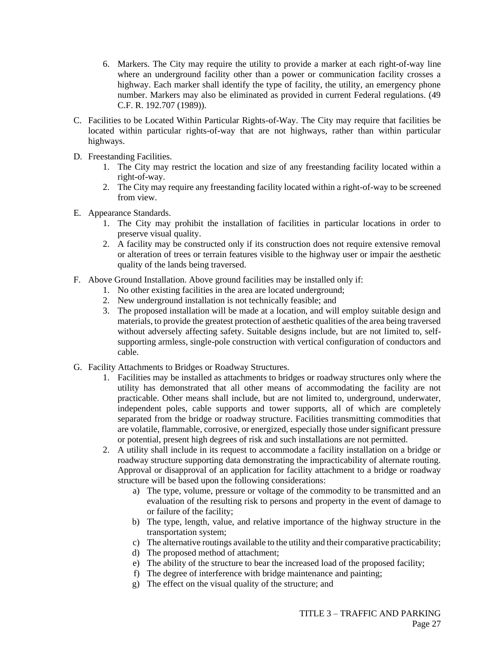- 6. Markers. The City may require the utility to provide a marker at each right-of-way line where an underground facility other than a power or communication facility crosses a highway. Each marker shall identify the type of facility, the utility, an emergency phone number. Markers may also be eliminated as provided in current Federal regulations. (49 C.F. R. 192.707 (1989)).
- C. Facilities to be Located Within Particular Rights-of-Way. The City may require that facilities be located within particular rights-of-way that are not highways, rather than within particular highways.
- D. Freestanding Facilities.
	- 1. The City may restrict the location and size of any freestanding facility located within a right-of-way.
	- 2. The City may require any freestanding facility located within a right-of-way to be screened from view.
- E. Appearance Standards.
	- 1. The City may prohibit the installation of facilities in particular locations in order to preserve visual quality.
	- 2. A facility may be constructed only if its construction does not require extensive removal or alteration of trees or terrain features visible to the highway user or impair the aesthetic quality of the lands being traversed.
- F. Above Ground Installation. Above ground facilities may be installed only if:
	- 1. No other existing facilities in the area are located underground;
	- 2. New underground installation is not technically feasible; and
	- 3. The proposed installation will be made at a location, and will employ suitable design and materials, to provide the greatest protection of aesthetic qualities of the area being traversed without adversely affecting safety. Suitable designs include, but are not limited to, selfsupporting armless, single-pole construction with vertical configuration of conductors and cable.
- G. Facility Attachments to Bridges or Roadway Structures.
	- 1. Facilities may be installed as attachments to bridges or roadway structures only where the utility has demonstrated that all other means of accommodating the facility are not practicable. Other means shall include, but are not limited to, underground, underwater, independent poles, cable supports and tower supports, all of which are completely separated from the bridge or roadway structure. Facilities transmitting commodities that are volatile, flammable, corrosive, or energized, especially those under significant pressure or potential, present high degrees of risk and such installations are not permitted.
	- 2. A utility shall include in its request to accommodate a facility installation on a bridge or roadway structure supporting data demonstrating the impracticability of alternate routing. Approval or disapproval of an application for facility attachment to a bridge or roadway structure will be based upon the following considerations:
		- a) The type, volume, pressure or voltage of the commodity to be transmitted and an evaluation of the resulting risk to persons and property in the event of damage to or failure of the facility;
		- b) The type, length, value, and relative importance of the highway structure in the transportation system;
		- c) The alternative routings available to the utility and their comparative practicability;
		- d) The proposed method of attachment;
		- e) The ability of the structure to bear the increased load of the proposed facility;
		- f) The degree of interference with bridge maintenance and painting;
		- g) The effect on the visual quality of the structure; and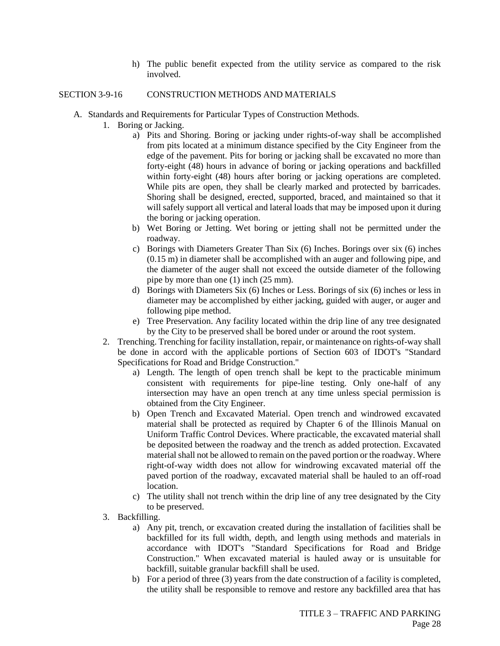h) The public benefit expected from the utility service as compared to the risk involved.

#### SECTION 3-9-16 CONSTRUCTION METHODS AND MATERIALS

- A. Standards and Requirements for Particular Types of Construction Methods.
	- 1. Boring or Jacking.
		- a) Pits and Shoring. Boring or jacking under rights-of-way shall be accomplished from pits located at a minimum distance specified by the City Engineer from the edge of the pavement. Pits for boring or jacking shall be excavated no more than forty-eight (48) hours in advance of boring or jacking operations and backfilled within forty-eight (48) hours after boring or jacking operations are completed. While pits are open, they shall be clearly marked and protected by barricades. Shoring shall be designed, erected, supported, braced, and maintained so that it will safely support all vertical and lateral loads that may be imposed upon it during the boring or jacking operation.
		- b) Wet Boring or Jetting. Wet boring or jetting shall not be permitted under the roadway.
		- c) Borings with Diameters Greater Than Six (6) Inches. Borings over six (6) inches (0.15 m) in diameter shall be accomplished with an auger and following pipe, and the diameter of the auger shall not exceed the outside diameter of the following pipe by more than one (1) inch (25 mm).
		- d) Borings with Diameters Six (6) Inches or Less. Borings of six (6) inches or less in diameter may be accomplished by either jacking, guided with auger, or auger and following pipe method.
		- e) Tree Preservation. Any facility located within the drip line of any tree designated by the City to be preserved shall be bored under or around the root system.
	- 2. Trenching. Trenching for facility installation, repair, or maintenance on rights-of-way shall be done in accord with the applicable portions of Section 603 of IDOT's "Standard Specifications for Road and Bridge Construction."
		- a) Length. The length of open trench shall be kept to the practicable minimum consistent with requirements for pipe-line testing. Only one-half of any intersection may have an open trench at any time unless special permission is obtained from the City Engineer.
		- b) Open Trench and Excavated Material. Open trench and windrowed excavated material shall be protected as required by Chapter 6 of the Illinois Manual on Uniform Traffic Control Devices. Where practicable, the excavated material shall be deposited between the roadway and the trench as added protection. Excavated material shall not be allowed to remain on the paved portion or the roadway. Where right-of-way width does not allow for windrowing excavated material off the paved portion of the roadway, excavated material shall be hauled to an off-road location.
		- c) The utility shall not trench within the drip line of any tree designated by the City to be preserved.
	- 3. Backfilling.
		- a) Any pit, trench, or excavation created during the installation of facilities shall be backfilled for its full width, depth, and length using methods and materials in accordance with IDOT's "Standard Specifications for Road and Bridge Construction." When excavated material is hauled away or is unsuitable for backfill, suitable granular backfill shall be used.
		- b) For a period of three (3) years from the date construction of a facility is completed, the utility shall be responsible to remove and restore any backfilled area that has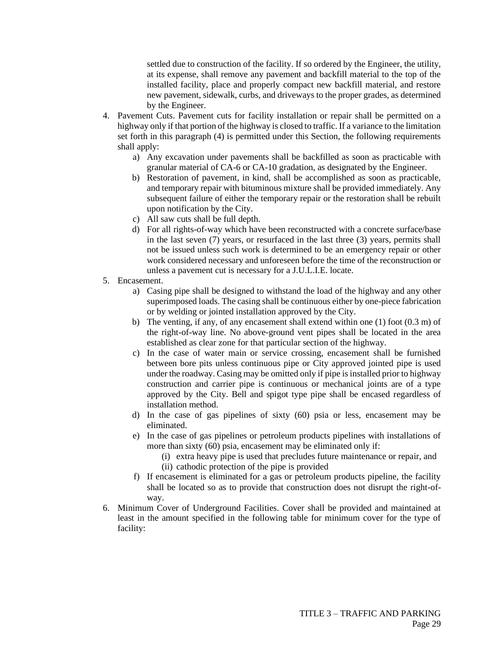settled due to construction of the facility. If so ordered by the Engineer, the utility, at its expense, shall remove any pavement and backfill material to the top of the installed facility, place and properly compact new backfill material, and restore new pavement, sidewalk, curbs, and driveways to the proper grades, as determined by the Engineer.

- 4. Pavement Cuts. Pavement cuts for facility installation or repair shall be permitted on a highway only if that portion of the highway is closed to traffic. If a variance to the limitation set forth in this paragraph (4) is permitted under this Section, the following requirements shall apply:
	- a) Any excavation under pavements shall be backfilled as soon as practicable with granular material of CA-6 or CA-10 gradation, as designated by the Engineer.
	- b) Restoration of pavement, in kind, shall be accomplished as soon as practicable, and temporary repair with bituminous mixture shall be provided immediately. Any subsequent failure of either the temporary repair or the restoration shall be rebuilt upon notification by the City.
	- c) All saw cuts shall be full depth.
	- d) For all rights-of-way which have been reconstructed with a concrete surface/base in the last seven (7) years, or resurfaced in the last three (3) years, permits shall not be issued unless such work is determined to be an emergency repair or other work considered necessary and unforeseen before the time of the reconstruction or unless a pavement cut is necessary for a J.U.L.I.E. locate.
- 5. Encasement.
	- a) Casing pipe shall be designed to withstand the load of the highway and any other superimposed loads. The casing shall be continuous either by one-piece fabrication or by welding or jointed installation approved by the City.
	- b) The venting, if any, of any encasement shall extend within one (1) foot (0.3 m) of the right-of-way line. No above-ground vent pipes shall be located in the area established as clear zone for that particular section of the highway.
	- c) In the case of water main or service crossing, encasement shall be furnished between bore pits unless continuous pipe or City approved jointed pipe is used under the roadway. Casing may be omitted only if pipe is installed prior to highway construction and carrier pipe is continuous or mechanical joints are of a type approved by the City. Bell and spigot type pipe shall be encased regardless of installation method.
	- d) In the case of gas pipelines of sixty (60) psia or less, encasement may be eliminated.
	- e) In the case of gas pipelines or petroleum products pipelines with installations of more than sixty (60) psia, encasement may be eliminated only if:
		- (i) extra heavy pipe is used that precludes future maintenance or repair, and
		- (ii) cathodic protection of the pipe is provided
	- f) If encasement is eliminated for a gas or petroleum products pipeline, the facility shall be located so as to provide that construction does not disrupt the right-ofway.
- 6. Minimum Cover of Underground Facilities. Cover shall be provided and maintained at least in the amount specified in the following table for minimum cover for the type of facility: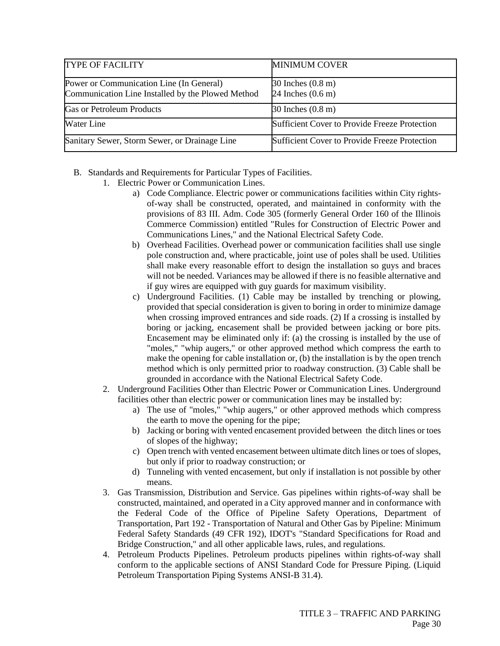| <b>TYPE OF FACILITY</b>                                                                       | <b>MINIMUM COVER</b>                                       |
|-----------------------------------------------------------------------------------------------|------------------------------------------------------------|
| Power or Communication Line (In General)<br>Communication Line Installed by the Plowed Method | 30 Inches $(0.8 \text{ m})$<br>24 Inches $(0.6 \text{ m})$ |
| <b>Gas or Petroleum Products</b>                                                              | 30 Inches $(0.8 \text{ m})$                                |
| Water Line                                                                                    | Sufficient Cover to Provide Freeze Protection              |
| Sanitary Sewer, Storm Sewer, or Drainage Line                                                 | Sufficient Cover to Provide Freeze Protection              |

- B. Standards and Requirements for Particular Types of Facilities.
	- 1. Electric Power or Communication Lines.
		- a) Code Compliance. Electric power or communications facilities within City rightsof-way shall be constructed, operated, and maintained in conformity with the provisions of 83 III. Adm. Code 305 (formerly General Order 160 of the Illinois Commerce Commission) entitled "Rules for Construction of Electric Power and Communications Lines," and the National Electrical Safety Code.
		- b) Overhead Facilities. Overhead power or communication facilities shall use single pole construction and, where practicable, joint use of poles shall be used. Utilities shall make every reasonable effort to design the installation so guys and braces will not be needed. Variances may be allowed if there is no feasible alternative and if guy wires are equipped with guy guards for maximum visibility.
		- c) Underground Facilities. (1) Cable may be installed by trenching or plowing, provided that special consideration is given to boring in order to minimize damage when crossing improved entrances and side roads. (2) If a crossing is installed by boring or jacking, encasement shall be provided between jacking or bore pits. Encasement may be eliminated only if: (a) the crossing is installed by the use of "moles," "whip augers," or other approved method which compress the earth to make the opening for cable installation or, (b) the installation is by the open trench method which is only permitted prior to roadway construction. (3) Cable shall be grounded in accordance with the National Electrical Safety Code.
	- 2. Underground Facilities Other than Electric Power or Communication Lines. Underground facilities other than electric power or communication lines may be installed by:
		- a) The use of "moles," "whip augers," or other approved methods which compress the earth to move the opening for the pipe;
		- b) Jacking or boring with vented encasement provided between the ditch lines or toes of slopes of the highway;
		- c) Open trench with vented encasement between ultimate ditch lines or toes of slopes, but only if prior to roadway construction; or
		- d) Tunneling with vented encasement, but only if installation is not possible by other means.
	- 3. Gas Transmission, Distribution and Service. Gas pipelines within rights-of-way shall be constructed, maintained, and operated in a City approved manner and in conformance with the Federal Code of the Office of Pipeline Safety Operations, Department of Transportation, Part 192 - Transportation of Natural and Other Gas by Pipeline: Minimum Federal Safety Standards (49 CFR 192), IDOT's "Standard Specifications for Road and Bridge Construction," and all other applicable laws, rules, and regulations.
	- 4. Petroleum Products Pipelines. Petroleum products pipelines within rights-of-way shall conform to the applicable sections of ANSI Standard Code for Pressure Piping. (Liquid Petroleum Transportation Piping Systems ANSI-B 31.4).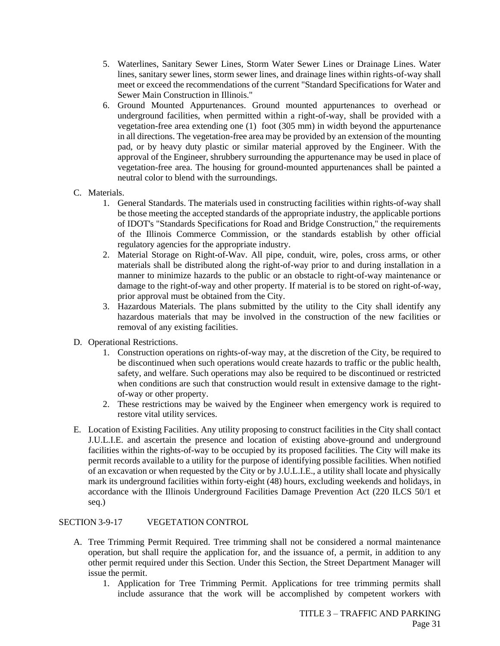- 5. Waterlines, Sanitary Sewer Lines, Storm Water Sewer Lines or Drainage Lines. Water lines, sanitary sewer lines, storm sewer lines, and drainage lines within rights-of-way shall meet or exceed the recommendations of the current "Standard Specifications for Water and Sewer Main Construction in Illinois."
- 6. Ground Mounted Appurtenances. Ground mounted appurtenances to overhead or underground facilities, when permitted within a right-of-way, shall be provided with a vegetation-free area extending one (1) foot (305 mm) in width beyond the appurtenance in all directions. The vegetation-free area may be provided by an extension of the mounting pad, or by heavy duty plastic or similar material approved by the Engineer. With the approval of the Engineer, shrubbery surrounding the appurtenance may be used in place of vegetation-free area. The housing for ground-mounted appurtenances shall be painted a neutral color to blend with the surroundings.
- C. Materials.
	- 1. General Standards. The materials used in constructing facilities within rights-of-way shall be those meeting the accepted standards of the appropriate industry, the applicable portions of IDOT's "Standards Specifications for Road and Bridge Construction," the requirements of the Illinois Commerce Commission, or the standards establish by other official regulatory agencies for the appropriate industry.
	- 2. Material Storage on Right-of-Wav. All pipe, conduit, wire, poles, cross arms, or other materials shall be distributed along the right-of-way prior to and during installation in a manner to minimize hazards to the public or an obstacle to right-of-way maintenance or damage to the right-of-way and other property. If material is to be stored on right-of-way, prior approval must be obtained from the City.
	- 3. Hazardous Materials. The plans submitted by the utility to the City shall identify any hazardous materials that may be involved in the construction of the new facilities or removal of any existing facilities.
- D. Operational Restrictions.
	- 1. Construction operations on rights-of-way may, at the discretion of the City, be required to be discontinued when such operations would create hazards to traffic or the public health, safety, and welfare. Such operations may also be required to be discontinued or restricted when conditions are such that construction would result in extensive damage to the rightof-way or other property.
	- 2. These restrictions may be waived by the Engineer when emergency work is required to restore vital utility services.
- E. Location of Existing Facilities. Any utility proposing to construct facilities in the City shall contact J.U.L.I.E. and ascertain the presence and location of existing above-ground and underground facilities within the rights-of-way to be occupied by its proposed facilities. The City will make its permit records available to a utility for the purpose of identifying possible facilities. When notified of an excavation or when requested by the City or by J.U.L.I.E., a utility shall locate and physically mark its underground facilities within forty-eight (48) hours, excluding weekends and holidays, in accordance with the Illinois Underground Facilities Damage Prevention Act (220 ILCS 50/1 et seq.)

### SECTION 3-9-17 VEGETATION CONTROL

- A. Tree Trimming Permit Required. Tree trimming shall not be considered a normal maintenance operation, but shall require the application for, and the issuance of, a permit, in addition to any other permit required under this Section. Under this Section, the Street Department Manager will issue the permit.
	- 1. Application for Tree Trimming Permit. Applications for tree trimming permits shall include assurance that the work will be accomplished by competent workers with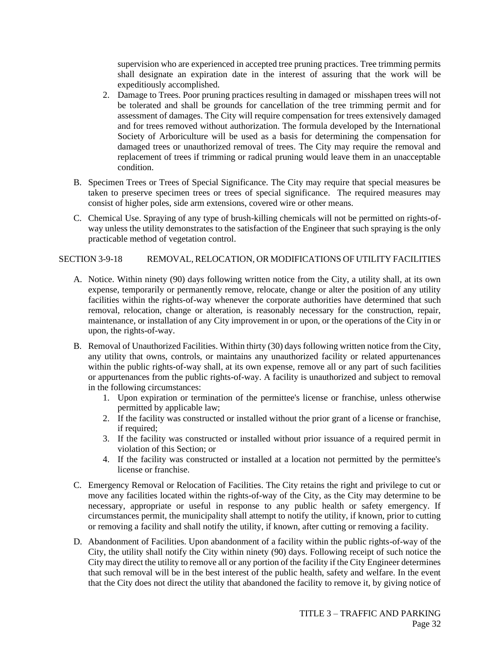supervision who are experienced in accepted tree pruning practices. Tree trimming permits shall designate an expiration date in the interest of assuring that the work will be expeditiously accomplished.

- 2. Damage to Trees. Poor pruning practices resulting in damaged or misshapen trees will not be tolerated and shall be grounds for cancellation of the tree trimming permit and for assessment of damages. The City will require compensation for trees extensively damaged and for trees removed without authorization. The formula developed by the International Society of Arboriculture will be used as a basis for determining the compensation for damaged trees or unauthorized removal of trees. The City may require the removal and replacement of trees if trimming or radical pruning would leave them in an unacceptable condition.
- B. Specimen Trees or Trees of Special Significance. The City may require that special measures be taken to preserve specimen trees or trees of special significance. The required measures may consist of higher poles, side arm extensions, covered wire or other means.
- C. Chemical Use. Spraying of any type of brush-killing chemicals will not be permitted on rights-ofway unless the utility demonstrates to the satisfaction of the Engineer that such spraying is the only practicable method of vegetation control.

SECTION 3-9-18 REMOVAL, RELOCATION, OR MODIFICATIONS OF UTILITY FACILITIES

- A. Notice. Within ninety (90) days following written notice from the City, a utility shall, at its own expense, temporarily or permanently remove, relocate, change or alter the position of any utility facilities within the rights-of-way whenever the corporate authorities have determined that such removal, relocation, change or alteration, is reasonably necessary for the construction, repair, maintenance, or installation of any City improvement in or upon, or the operations of the City in or upon, the rights-of-way.
- B. Removal of Unauthorized Facilities. Within thirty (30) days following written notice from the City, any utility that owns, controls, or maintains any unauthorized facility or related appurtenances within the public rights-of-way shall, at its own expense, remove all or any part of such facilities or appurtenances from the public rights-of-way. A facility is unauthorized and subject to removal in the following circumstances:
	- 1. Upon expiration or termination of the permittee's license or franchise, unless otherwise permitted by applicable law;
	- 2. If the facility was constructed or installed without the prior grant of a license or franchise, if required:
	- 3. If the facility was constructed or installed without prior issuance of a required permit in violation of this Section; or
	- 4. If the facility was constructed or installed at a location not permitted by the permittee's license or franchise.
- C. Emergency Removal or Relocation of Facilities. The City retains the right and privilege to cut or move any facilities located within the rights-of-way of the City, as the City may determine to be necessary, appropriate or useful in response to any public health or safety emergency. If circumstances permit, the municipality shall attempt to notify the utility, if known, prior to cutting or removing a facility and shall notify the utility, if known, after cutting or removing a facility.
- D. Abandonment of Facilities. Upon abandonment of a facility within the public rights-of-way of the City, the utility shall notify the City within ninety (90) days. Following receipt of such notice the City may direct the utility to remove all or any portion of the facility if the City Engineer determines that such removal will be in the best interest of the public health, safety and welfare. In the event that the City does not direct the utility that abandoned the facility to remove it, by giving notice of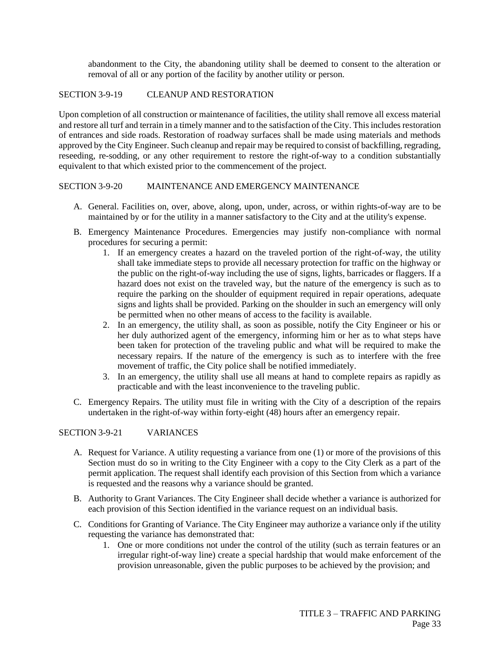abandonment to the City, the abandoning utility shall be deemed to consent to the alteration or removal of all or any portion of the facility by another utility or person.

### SECTION 3-9-19 CLEANUP AND RESTORATION

Upon completion of all construction or maintenance of facilities, the utility shall remove all excess material and restore all turf and terrain in a timely manner and to the satisfaction of the City. This includes restoration of entrances and side roads. Restoration of roadway surfaces shall be made using materials and methods approved by the City Engineer. Such cleanup and repair may be required to consist of backfilling, regrading, reseeding, re-sodding, or any other requirement to restore the right-of-way to a condition substantially equivalent to that which existed prior to the commencement of the project.

### SECTION 3-9-20 MAINTENANCE AND EMERGENCY MAINTENANCE

- A. General. Facilities on, over, above, along, upon, under, across, or within rights-of-way are to be maintained by or for the utility in a manner satisfactory to the City and at the utility's expense.
- B. Emergency Maintenance Procedures. Emergencies may justify non-compliance with normal procedures for securing a permit:
	- 1. If an emergency creates a hazard on the traveled portion of the right-of-way, the utility shall take immediate steps to provide all necessary protection for traffic on the highway or the public on the right-of-way including the use of signs, lights, barricades or flaggers. If a hazard does not exist on the traveled way, but the nature of the emergency is such as to require the parking on the shoulder of equipment required in repair operations, adequate signs and lights shall be provided. Parking on the shoulder in such an emergency will only be permitted when no other means of access to the facility is available.
	- 2. In an emergency, the utility shall, as soon as possible, notify the City Engineer or his or her duly authorized agent of the emergency, informing him or her as to what steps have been taken for protection of the traveling public and what will be required to make the necessary repairs. If the nature of the emergency is such as to interfere with the free movement of traffic, the City police shall be notified immediately.
	- 3. In an emergency, the utility shall use all means at hand to complete repairs as rapidly as practicable and with the least inconvenience to the traveling public.
- C. Emergency Repairs. The utility must file in writing with the City of a description of the repairs undertaken in the right-of-way within forty-eight (48) hours after an emergency repair.

### SECTION 3-9-21 VARIANCES

- A. Request for Variance. A utility requesting a variance from one (1) or more of the provisions of this Section must do so in writing to the City Engineer with a copy to the City Clerk as a part of the permit application. The request shall identify each provision of this Section from which a variance is requested and the reasons why a variance should be granted.
- B. Authority to Grant Variances. The City Engineer shall decide whether a variance is authorized for each provision of this Section identified in the variance request on an individual basis.
- C. Conditions for Granting of Variance. The City Engineer may authorize a variance only if the utility requesting the variance has demonstrated that:
	- 1. One or more conditions not under the control of the utility (such as terrain features or an irregular right-of-way line) create a special hardship that would make enforcement of the provision unreasonable, given the public purposes to be achieved by the provision; and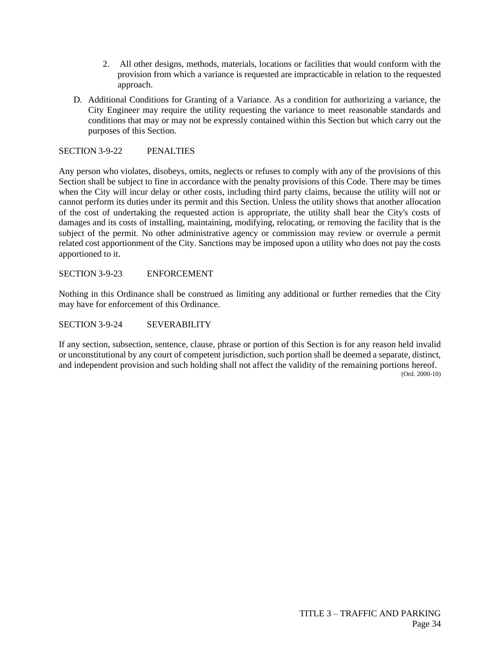- 2. All other designs, methods, materials, locations or facilities that would conform with the provision from which a variance is requested are impracticable in relation to the requested approach.
- D. Additional Conditions for Granting of a Variance. As a condition for authorizing a variance, the City Engineer may require the utility requesting the variance to meet reasonable standards and conditions that may or may not be expressly contained within this Section but which carry out the purposes of this Section.

### SECTION 3-9-22 PENALTIES

Any person who violates, disobeys, omits, neglects or refuses to comply with any of the provisions of this Section shall be subject to fine in accordance with the penalty provisions of this Code. There may be times when the City will incur delay or other costs, including third party claims, because the utility will not or cannot perform its duties under its permit and this Section. Unless the utility shows that another allocation of the cost of undertaking the requested action is appropriate, the utility shall bear the City's costs of damages and its costs of installing, maintaining, modifying, relocating, or removing the facility that is the subject of the permit. No other administrative agency or commission may review or overrule a permit related cost apportionment of the City. Sanctions may be imposed upon a utility who does not pay the costs apportioned to it.

### SECTION 3-9-23 ENFORCEMENT

Nothing in this Ordinance shall be construed as limiting any additional or further remedies that the City may have for enforcement of this Ordinance.

SECTION 3-9-24 SEVERABILITY

If any section, subsection, sentence, clause, phrase or portion of this Section is for any reason held invalid or unconstitutional by any court of competent jurisdiction, such portion shall be deemed a separate, distinct, and independent provision and such holding shall not affect the validity of the remaining portions hereof. (Ord. 2000-10)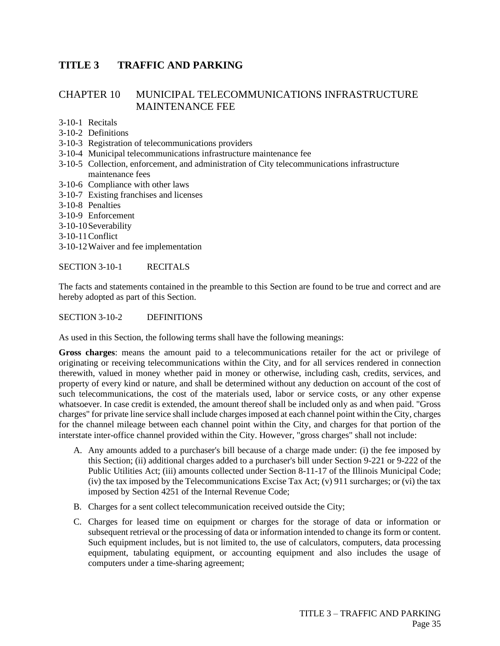## <span id="page-37-0"></span>CHAPTER 10 MUNICIPAL TELECOMMUNICATIONS INFRASTRUCTURE MAINTENANCE FEE

3-10-1 Recitals

- 3-10-2 Definitions
- 3-10-3 Registration of telecommunications providers
- 3-10-4 Municipal telecommunications infrastructure maintenance fee
- 3-10-5 Collection, enforcement, and administration of City telecommunications infrastructure maintenance fees
- 3-10-6 Compliance with other laws
- 3-10-7 Existing franchises and licenses
- 3-10-8 Penalties
- 3-10-9 Enforcement
- 3-10-10Severability
- 3-10-11Conflict
- 3-10-12Waiver and fee implementation

SECTION 3-10-1 RECITALS

The facts and statements contained in the preamble to this Section are found to be true and correct and are hereby adopted as part of this Section.

#### SECTION 3-10-2 DEFINITIONS

As used in this Section, the following terms shall have the following meanings:

**Gross charges**: means the amount paid to a telecommunications retailer for the act or privilege of originating or receiving telecommunications within the City, and for all services rendered in connection therewith, valued in money whether paid in money or otherwise, including cash, credits, services, and property of every kind or nature, and shall be determined without any deduction on account of the cost of such telecommunications, the cost of the materials used, labor or service costs, or any other expense whatsoever. In case credit is extended, the amount thereof shall be included only as and when paid. "Gross charges" for private line service shall include charges imposed at each channel point within the City, charges for the channel mileage between each channel point within the City, and charges for that portion of the interstate inter-office channel provided within the City. However, "gross charges" shall not include:

- A. Any amounts added to a purchaser's bill because of a charge made under: (i) the fee imposed by this Section; (ii) additional charges added to a purchaser's bill under Section 9-221 or 9-222 of the Public Utilities Act; (iii) amounts collected under Section 8-11-17 of the Illinois Municipal Code; (iv) the tax imposed by the Telecommunications Excise Tax Act; (v) 911 surcharges; or (vi) the tax imposed by Section 4251 of the Internal Revenue Code;
- B. Charges for a sent collect telecommunication received outside the City;
- C. Charges for leased time on equipment or charges for the storage of data or information or subsequent retrieval or the processing of data or information intended to change its form or content. Such equipment includes, but is not limited to, the use of calculators, computers, data processing equipment, tabulating equipment, or accounting equipment and also includes the usage of computers under a time-sharing agreement;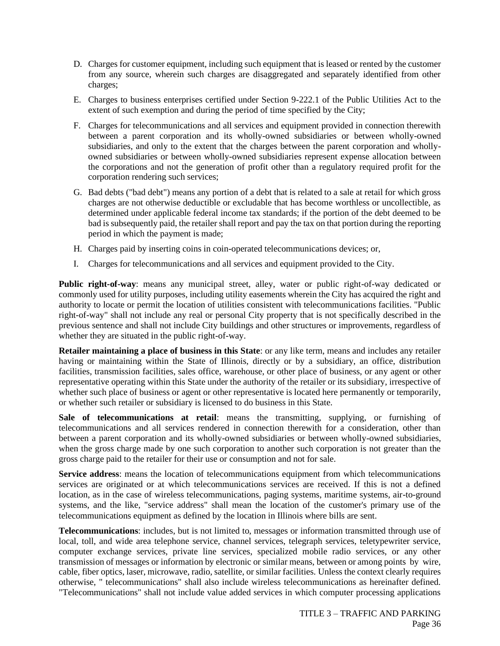- D. Charges for customer equipment, including such equipment that is leased or rented by the customer from any source, wherein such charges are disaggregated and separately identified from other charges;
- E. Charges to business enterprises certified under Section 9-222.1 of the Public Utilities Act to the extent of such exemption and during the period of time specified by the City;
- F. Charges for telecommunications and all services and equipment provided in connection therewith between a parent corporation and its wholly-owned subsidiaries or between wholly-owned subsidiaries, and only to the extent that the charges between the parent corporation and whollyowned subsidiaries or between wholly-owned subsidiaries represent expense allocation between the corporations and not the generation of profit other than a regulatory required profit for the corporation rendering such services;
- G. Bad debts ("bad debt") means any portion of a debt that is related to a sale at retail for which gross charges are not otherwise deductible or excludable that has become worthless or uncollectible, as determined under applicable federal income tax standards; if the portion of the debt deemed to be bad is subsequently paid, the retailer shall report and pay the tax on that portion during the reporting period in which the payment is made;
- H. Charges paid by inserting coins in coin-operated telecommunications devices; or,
- I. Charges for telecommunications and all services and equipment provided to the City.

**Public right-of-way**: means any municipal street, alley, water or public right-of-way dedicated or commonly used for utility purposes, including utility easements wherein the City has acquired the right and authority to locate or permit the location of utilities consistent with telecommunications facilities. "Public right-of-way" shall not include any real or personal City property that is not specifically described in the previous sentence and shall not include City buildings and other structures or improvements, regardless of whether they are situated in the public right-of-way.

**Retailer maintaining a place of business in this State**: or any like term, means and includes any retailer having or maintaining within the State of Illinois, directly or by a subsidiary, an office, distribution facilities, transmission facilities, sales office, warehouse, or other place of business, or any agent or other representative operating within this State under the authority of the retailer or its subsidiary, irrespective of whether such place of business or agent or other representative is located here permanently or temporarily, or whether such retailer or subsidiary is licensed to do business in this State.

**Sale of telecommunications at retail**: means the transmitting, supplying, or furnishing of telecommunications and all services rendered in connection therewith for a consideration, other than between a parent corporation and its wholly-owned subsidiaries or between wholly-owned subsidiaries, when the gross charge made by one such corporation to another such corporation is not greater than the gross charge paid to the retailer for their use or consumption and not for sale.

**Service address**: means the location of telecommunications equipment from which telecommunications services are originated or at which telecommunications services are received. If this is not a defined location, as in the case of wireless telecommunications, paging systems, maritime systems, air-to-ground systems, and the like, "service address" shall mean the location of the customer's primary use of the telecommunications equipment as defined by the location in Illinois where bills are sent.

**Telecommunications**: includes, but is not limited to, messages or information transmitted through use of local, toll, and wide area telephone service, channel services, telegraph services, teletypewriter service, computer exchange services, private line services, specialized mobile radio services, or any other transmission of messages or information by electronic or similar means, between or among points by wire, cable, fiber optics, laser, microwave, radio, satellite, or similar facilities. Unless the context clearly requires otherwise, " telecommunications" shall also include wireless telecommunications as hereinafter defined. "Telecommunications" shall not include value added services in which computer processing applications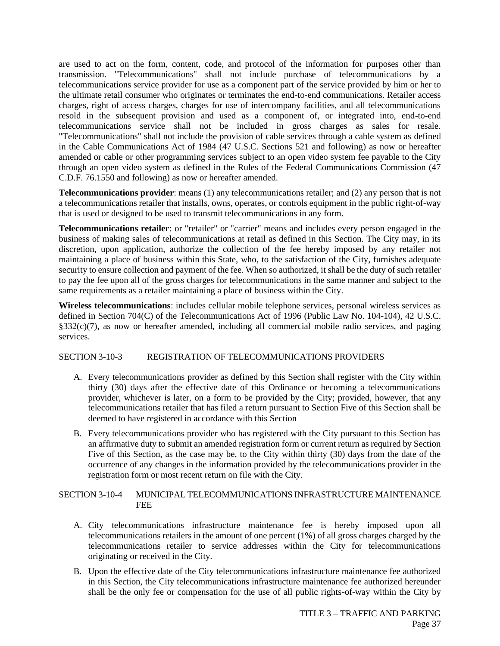are used to act on the form, content, code, and protocol of the information for purposes other than transmission. "Telecommunications" shall not include purchase of telecommunications by a telecommunications service provider for use as a component part of the service provided by him or her to the ultimate retail consumer who originates or terminates the end-to-end communications. Retailer access charges, right of access charges, charges for use of intercompany facilities, and all telecommunications resold in the subsequent provision and used as a component of, or integrated into, end-to-end telecommunications service shall not be included in gross charges as sales for resale. "Telecommunications" shall not include the provision of cable services through a cable system as defined in the Cable Communications Act of 1984 (47 U.S.C. Sections 521 and following) as now or hereafter amended or cable or other programming services subject to an open video system fee payable to the City through an open video system as defined in the Rules of the Federal Communications Commission (47 C.D.F. 76.1550 and following) as now or hereafter amended.

**Telecommunications provider**: means (1) any telecommunications retailer; and (2) any person that is not a telecommunications retailer that installs, owns, operates, or controls equipment in the public right-of-way that is used or designed to be used to transmit telecommunications in any form.

**Telecommunications retailer**: or "retailer" or "carrier" means and includes every person engaged in the business of making sales of telecommunications at retail as defined in this Section. The City may, in its discretion, upon application, authorize the collection of the fee hereby imposed by any retailer not maintaining a place of business within this State, who, to the satisfaction of the City, furnishes adequate security to ensure collection and payment of the fee. When so authorized, it shall be the duty of such retailer to pay the fee upon all of the gross charges for telecommunications in the same manner and subject to the same requirements as a retailer maintaining a place of business within the City.

**Wireless telecommunications**: includes cellular mobile telephone services, personal wireless services as defined in Section 704(C) of the Telecommunications Act of 1996 (Public Law No. 104-104), 42 U.S.C. §332(c)(7), as now or hereafter amended, including all commercial mobile radio services, and paging services.

### SECTION 3-10-3 REGISTRATION OF TELECOMMUNICATIONS PROVIDERS

- A. Every telecommunications provider as defined by this Section shall register with the City within thirty (30) days after the effective date of this Ordinance or becoming a telecommunications provider, whichever is later, on a form to be provided by the City; provided, however, that any telecommunications retailer that has filed a return pursuant to Section Five of this Section shall be deemed to have registered in accordance with this Section
- B. Every telecommunications provider who has registered with the City pursuant to this Section has an affirmative duty to submit an amended registration form or current return as required by Section Five of this Section, as the case may be, to the City within thirty (30) days from the date of the occurrence of any changes in the information provided by the telecommunications provider in the registration form or most recent return on file with the City.

### SECTION 3-10-4 MUNICIPAL TELECOMMUNICATIONS INFRASTRUCTURE MAINTENANCE FEE

- A. City telecommunications infrastructure maintenance fee is hereby imposed upon all telecommunications retailers in the amount of one percent (1%) of all gross charges charged by the telecommunications retailer to service addresses within the City for telecommunications originating or received in the City.
- B. Upon the effective date of the City telecommunications infrastructure maintenance fee authorized in this Section, the City telecommunications infrastructure maintenance fee authorized hereunder shall be the only fee or compensation for the use of all public rights-of-way within the City by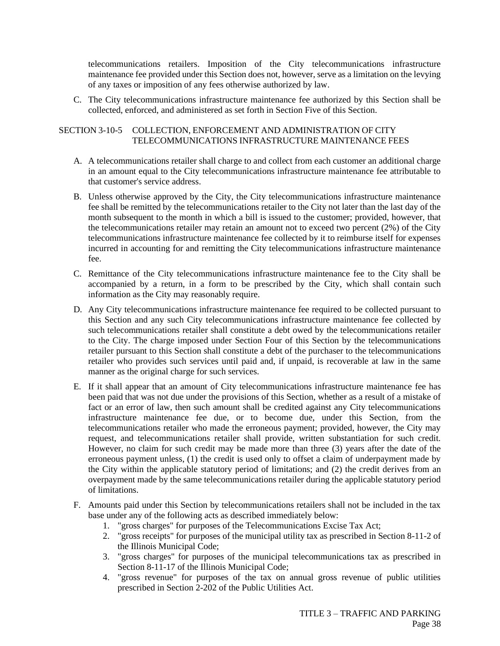telecommunications retailers. Imposition of the City telecommunications infrastructure maintenance fee provided under this Section does not, however, serve as a limitation on the levying of any taxes or imposition of any fees otherwise authorized by law.

C. The City telecommunications infrastructure maintenance fee authorized by this Section shall be collected, enforced, and administered as set forth in Section Five of this Section.

### SECTION 3-10-5 COLLECTION, ENFORCEMENT AND ADMINISTRATION OF CITY TELECOMMUNICATIONS INFRASTRUCTURE MAINTENANCE FEES

- A. A telecommunications retailer shall charge to and collect from each customer an additional charge in an amount equal to the City telecommunications infrastructure maintenance fee attributable to that customer's service address.
- B. Unless otherwise approved by the City, the City telecommunications infrastructure maintenance fee shall be remitted by the telecommunications retailer to the City not later than the last day of the month subsequent to the month in which a bill is issued to the customer; provided, however, that the telecommunications retailer may retain an amount not to exceed two percent (2%) of the City telecommunications infrastructure maintenance fee collected by it to reimburse itself for expenses incurred in accounting for and remitting the City telecommunications infrastructure maintenance fee.
- C. Remittance of the City telecommunications infrastructure maintenance fee to the City shall be accompanied by a return, in a form to be prescribed by the City, which shall contain such information as the City may reasonably require.
- D. Any City telecommunications infrastructure maintenance fee required to be collected pursuant to this Section and any such City telecommunications infrastructure maintenance fee collected by such telecommunications retailer shall constitute a debt owed by the telecommunications retailer to the City. The charge imposed under Section Four of this Section by the telecommunications retailer pursuant to this Section shall constitute a debt of the purchaser to the telecommunications retailer who provides such services until paid and, if unpaid, is recoverable at law in the same manner as the original charge for such services.
- E. If it shall appear that an amount of City telecommunications infrastructure maintenance fee has been paid that was not due under the provisions of this Section, whether as a result of a mistake of fact or an error of law, then such amount shall be credited against any City telecommunications infrastructure maintenance fee due, or to become due, under this Section, from the telecommunications retailer who made the erroneous payment; provided, however, the City may request, and telecommunications retailer shall provide, written substantiation for such credit. However, no claim for such credit may be made more than three (3) years after the date of the erroneous payment unless, (1) the credit is used only to offset a claim of underpayment made by the City within the applicable statutory period of limitations; and (2) the credit derives from an overpayment made by the same telecommunications retailer during the applicable statutory period of limitations.
- F. Amounts paid under this Section by telecommunications retailers shall not be included in the tax base under any of the following acts as described immediately below:
	- 1. "gross charges" for purposes of the Telecommunications Excise Tax Act;
	- 2. "gross receipts" for purposes of the municipal utility tax as prescribed in Section 8-11-2 of the Illinois Municipal Code;
	- 3. "gross charges" for purposes of the municipal telecommunications tax as prescribed in Section 8-11-17 of the Illinois Municipal Code;
	- 4. "gross revenue" for purposes of the tax on annual gross revenue of public utilities prescribed in Section 2-202 of the Public Utilities Act.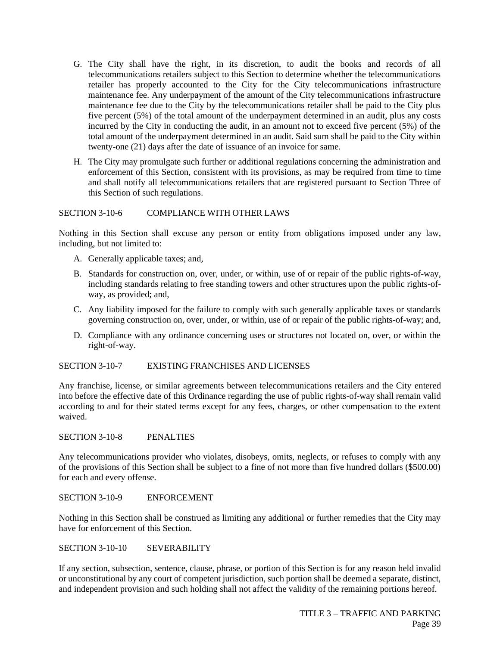- G. The City shall have the right, in its discretion, to audit the books and records of all telecommunications retailers subject to this Section to determine whether the telecommunications retailer has properly accounted to the City for the City telecommunications infrastructure maintenance fee. Any underpayment of the amount of the City telecommunications infrastructure maintenance fee due to the City by the telecommunications retailer shall be paid to the City plus five percent (5%) of the total amount of the underpayment determined in an audit, plus any costs incurred by the City in conducting the audit, in an amount not to exceed five percent (5%) of the total amount of the underpayment determined in an audit. Said sum shall be paid to the City within twenty-one (21) days after the date of issuance of an invoice for same.
- H. The City may promulgate such further or additional regulations concerning the administration and enforcement of this Section, consistent with its provisions, as may be required from time to time and shall notify all telecommunications retailers that are registered pursuant to Section Three of this Section of such regulations.

### SECTION 3-10-6 COMPLIANCE WITH OTHER LAWS

Nothing in this Section shall excuse any person or entity from obligations imposed under any law, including, but not limited to:

- A. Generally applicable taxes; and,
- B. Standards for construction on, over, under, or within, use of or repair of the public rights-of-way, including standards relating to free standing towers and other structures upon the public rights-ofway, as provided; and,
- C. Any liability imposed for the failure to comply with such generally applicable taxes or standards governing construction on, over, under, or within, use of or repair of the public rights-of-way; and,
- D. Compliance with any ordinance concerning uses or structures not located on, over, or within the right-of-way.

### SECTION 3-10-7 EXISTING FRANCHISES AND LICENSES

Any franchise, license, or similar agreements between telecommunications retailers and the City entered into before the effective date of this Ordinance regarding the use of public rights-of-way shall remain valid according to and for their stated terms except for any fees, charges, or other compensation to the extent waived.

#### SECTION 3-10-8 PENALTIES

Any telecommunications provider who violates, disobeys, omits, neglects, or refuses to comply with any of the provisions of this Section shall be subject to a fine of not more than five hundred dollars (\$500.00) for each and every offense.

### SECTION 3-10-9 ENFORCEMENT

Nothing in this Section shall be construed as limiting any additional or further remedies that the City may have for enforcement of this Section.

SECTION 3-10-10 SEVERABILITY

If any section, subsection, sentence, clause, phrase, or portion of this Section is for any reason held invalid or unconstitutional by any court of competent jurisdiction, such portion shall be deemed a separate, distinct, and independent provision and such holding shall not affect the validity of the remaining portions hereof.